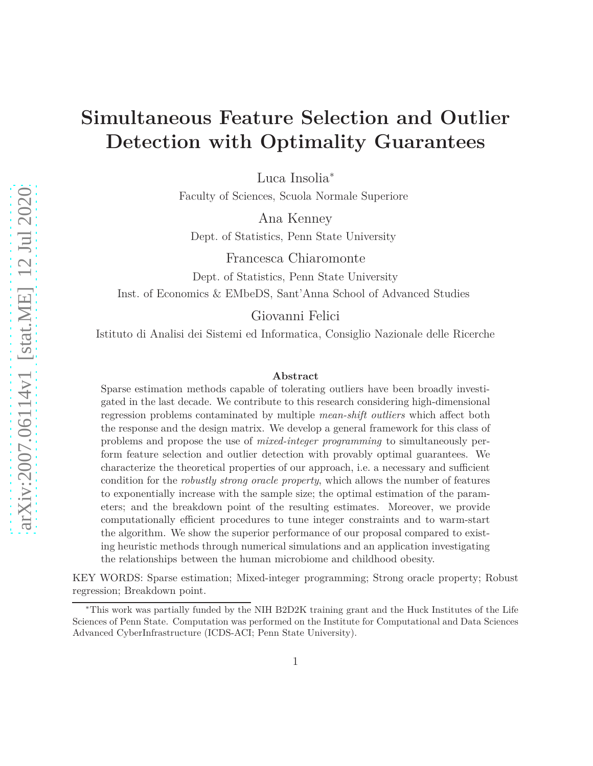# **Simultaneous Feature Selection and Outlier Detection with Optimality Guarantees**

Luca Insolia<sup>∗</sup>

Faculty of Sciences, Scuola Normale Superiore

Ana Kenney

Dept. of Statistics, Penn State University

Francesca Chiaromonte Dept. of Statistics, Penn State University Inst. of Economics & EMbeDS, Sant'Anna School of Advanced Studies

Giovanni Felici

Istituto di Analisi dei Sistemi ed Informatica, Consiglio Nazionale delle Ricerche

#### **Abstract**

Sparse estimation methods capable of tolerating outliers have been broadly investigated in the last decade. We contribute to this research considering high-dimensional regression problems contaminated by multiple *mean-shift outliers* which affect both the response and the design matrix. We develop a general framework for this class of problems and propose the use of *mixed-integer programming* to simultaneously perform feature selection and outlier detection with provably optimal guarantees. We characterize the theoretical properties of our approach, i.e. a necessary and sufficient condition for the *robustly strong oracle property*, which allows the number of features to exponentially increase with the sample size; the optimal estimation of the parameters; and the breakdown point of the resulting estimates. Moreover, we provide computationally efficient procedures to tune integer constraints and to warm-start the algorithm. We show the superior performance of our proposal compared to existing heuristic methods through numerical simulations and an application investigating the relationships between the human microbiome and childhood obesity.

KEY WORDS: Sparse estimation; Mixed-integer programming; Strong oracle property; Robust regression; Breakdown point.

<sup>∗</sup>This work was partially funded by the NIH B2D2K training grant and the Huck Institutes of the Life Sciences of Penn State. Computation was performed on the Institute for Computational and Data Sciences Advanced CyberInfrastructure (ICDS-ACI; Penn State University).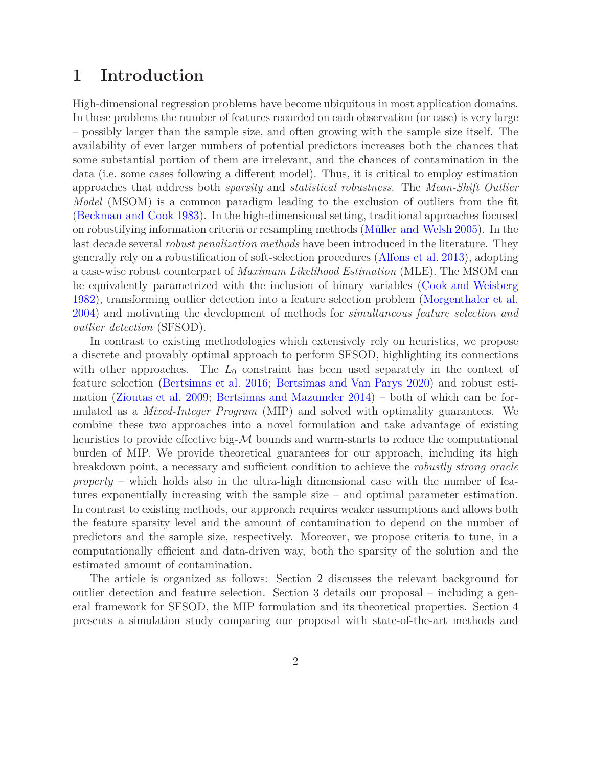#### **1 Introduction**

High-dimensional regression problems have become ubiquitous in most application domains. In these problems the number of features recorded on each observation (or case) is very large – possibly larger than the sample size, and often growing with the sample size itself. The availability of ever larger numbers of potential predictors increases both the chances that some substantial portion of them are irrelevant, and the chances of contamination in the data (i.e. some cases following a different model). Thus, it is critical to employ estimation approaches that address both *sparsity* and *statistical robustness*. The *Mean-Shift Outlier Model* (MSOM) is a common paradigm leading to the exclusion of outliers from the fit [\(Beckman and Cook 1983\)](#page-25-0). In the high-dimensional setting, traditional approaches focused on robustifying information criteria or resampling methods [\(Müller and Welsh 2005](#page-27-0)). In the last decade several *robust penalization methods* have been introduced in the literature. They generally rely on a robustification of soft-selection procedures [\(Alfons et al. 2013\)](#page-24-0), adopting a case-wise robust counterpart of *Maximum Likelihood Estimation* (MLE). The MSOM can be equivalently parametrized with the inclusion of binary variables [\(Cook and Weisberg](#page-25-1) [1982](#page-25-1)), transforming outlier detection into a feature selection problem [\(Morgenthaler et al.](#page-27-1) [2004](#page-27-1)) and motivating the development of methods for *simultaneous feature selection and outlier detection* (SFSOD).

In contrast to existing methodologies which extensively rely on heuristics, we propose a discrete and provably optimal approach to perform SFSOD, highlighting its connections with other approaches. The  $L_0$  constraint has been used separately in the context of feature selection [\(Bertsimas et al. 2016;](#page-25-2) [Bertsimas and Van Parys 2020\)](#page-25-3) and robust estimation [\(Zioutas et al. 2009](#page-28-0); [Bertsimas and Mazumder 2014](#page-25-4)) – both of which can be formulated as a *Mixed-Integer Program* (MIP) and solved with optimality guarantees. We combine these two approaches into a novel formulation and take advantage of existing heuristics to provide effective big- $\mathcal M$  bounds and warm-starts to reduce the computational burden of MIP. We provide theoretical guarantees for our approach, including its high breakdown point, a necessary and sufficient condition to achieve the *robustly strong oracle property* – which holds also in the ultra-high dimensional case with the number of features exponentially increasing with the sample size – and optimal parameter estimation. In contrast to existing methods, our approach requires weaker assumptions and allows both the feature sparsity level and the amount of contamination to depend on the number of predictors and the sample size, respectively. Moreover, we propose criteria to tune, in a computationally efficient and data-driven way, both the sparsity of the solution and the estimated amount of contamination.

The article is organized as follows: Section [2](#page-2-0) discusses the relevant background for outlier detection and feature selection. Section [3](#page-3-0) details our proposal – including a general framework for SFSOD, the MIP formulation and its theoretical properties. Section [4](#page-11-0) presents a simulation study comparing our proposal with state-of-the-art methods and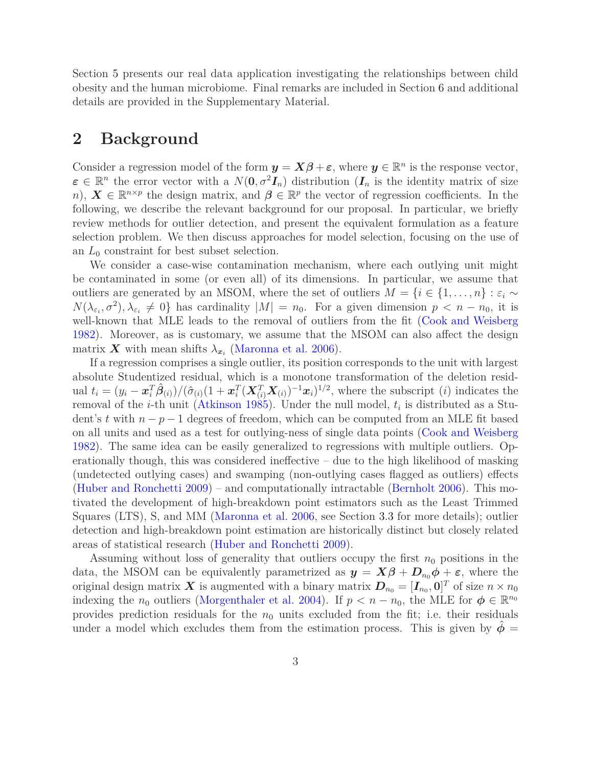Section [5](#page-12-0) presents our real data application investigating the relationships between child obesity and the human microbiome. Final remarks are included in Section [6](#page-15-0) and additional details are provided in the Supplementary Material.

#### <span id="page-2-0"></span>**2 Background**

Consider a regression model of the form  $y = X\beta + \varepsilon$ , where  $y \in \mathbb{R}^n$  is the response vector,  $\boldsymbol{\varepsilon} \in \mathbb{R}^n$  the error vector with a  $N(\mathbf{0}, \sigma^2 \boldsymbol{I}_n)$  distribution  $(\boldsymbol{I}_n)$  is the identity matrix of size *n*),  $\mathbf{X} \in \mathbb{R}^{n \times p}$  the design matrix, and  $\boldsymbol{\beta} \in \mathbb{R}^p$  the vector of regression coefficients. In the following, we describe the relevant background for our proposal. In particular, we briefly review methods for outlier detection, and present the equivalent formulation as a feature selection problem. We then discuss approaches for model selection, focusing on the use of an *L*<sup>0</sup> constraint for best subset selection.

We consider a case-wise contamination mechanism, where each outlying unit might be contaminated in some (or even all) of its dimensions. In particular, we assume that outliers are generated by an MSOM, where the set of outliers  $M = \{i \in \{1, ..., n\} : \varepsilon_i \sim$  $N(\lambda_{\varepsilon_i}, \sigma^2), \lambda_{\varepsilon_i} \neq 0$  has cardinality  $|M| = n_0$ . For a given dimension  $p < n - n_0$ , it is well-known that MLE leads to the removal of outliers from the fit [\(Cook and Weisberg](#page-25-1) [1982](#page-25-1)). Moreover, as is customary, we assume that the MSOM can also affect the design matrix  $\boldsymbol{X}$  with mean shifts  $\lambda_{x_i}$  [\(Maronna et al. 2006](#page-27-2)).

If a regression comprises a single outlier, its position corresponds to the unit with largest absolute Studentized residual, which is a monotone transformation of the deletion residual  $t_i = (y_i - \boldsymbol{x}_i^T \hat{\boldsymbol{\beta}}_{(i)})/(\hat{\sigma}_{(i)}(1 + \boldsymbol{x}_i^T (\boldsymbol{X}_{(i)}^T \boldsymbol{X}_{(i)})^{-1} \boldsymbol{x}_i)^{1/2}$ , where the subscript (*i*) indicates the removal of the *i*-th unit [\(Atkinson 1985](#page-24-1)). Under the null model, *t<sup>i</sup>* is distributed as a Student's *t* with *n* − *p* − 1 degrees of freedom, which can be computed from an MLE fit based on all units and used as a test for outlying-ness of single data points [\(Cook and Weisberg](#page-25-1) [1982](#page-25-1)). The same idea can be easily generalized to regressions with multiple outliers. Operationally though, this was considered ineffective – due to the high likelihood of masking (undetected outlying cases) and swamping (non-outlying cases flagged as outliers) effects [\(Huber and Ronchetti 2009\)](#page-26-0) – and computationally intractable [\(Bernholt 2006\)](#page-25-5). This motivated the development of high-breakdown point estimators such as the Least Trimmed Squares (LTS), S, and MM [\(Maronna et al. 2006,](#page-27-2) see Section [3.3](#page-7-0) for more details); outlier detection and high-breakdown point estimation are historically distinct but closely related areas of statistical research [\(Huber and Ronchetti 2009](#page-26-0)).

Assuming without loss of generality that outliers occupy the first  $n_0$  positions in the data, the MSOM can be equivalently parametrized as  $y = X\beta + D_{n_0}\phi + \varepsilon$ , where the original design matrix  $\boldsymbol{X}$  is augmented with a binary matrix  $\boldsymbol{D}_{n_0} = [\boldsymbol{I}_{n_0}, \boldsymbol{0}]^T$  of size  $n \times n_0$ indexing the *n*<sub>0</sub> outliers [\(Morgenthaler et al. 2004\)](#page-27-1). If  $p < n - n_0$ , the MLE for  $\phi \in \mathbb{R}^{n_0}$ provides prediction residuals for the  $n_0$  units excluded from the fit; i.e. their residuals under a model which excludes them from the estimation process. This is given by  $\phi =$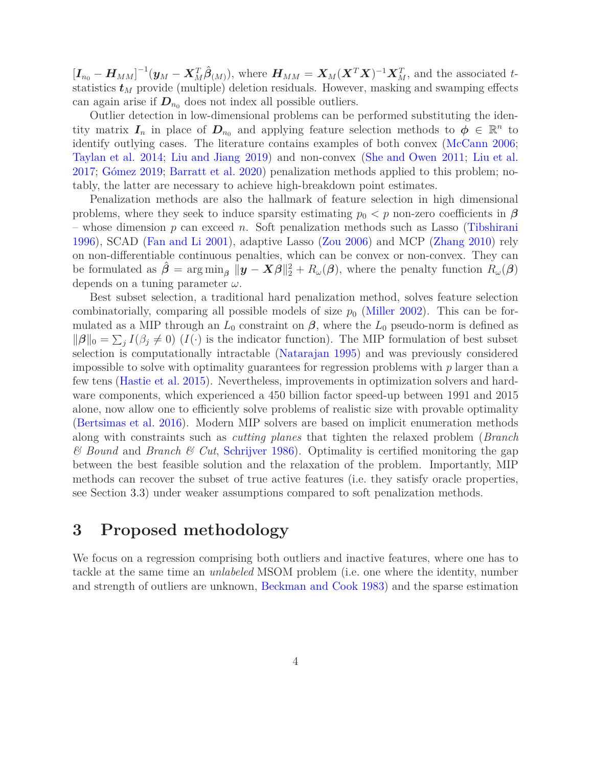$[\boldsymbol{I}_{n_0}-\boldsymbol{H}_{MM}]^{-1}(\boldsymbol{y}_M-\boldsymbol{X}_M^T\boldsymbol{\hat{\beta}}_{(M)}),$  where  $\boldsymbol{H}_{MM}=\boldsymbol{X}_M(\boldsymbol{X}^T\boldsymbol{X})^{-1}\boldsymbol{X}_M^T$ , and the associated tstatistics  $t_M$  provide (multiple) deletion residuals. However, masking and swamping effects can again arise if  $D_{n_0}$  does not index all possible outliers.

Outlier detection in low-dimensional problems can be performed substituting the identity matrix  $I_n$  in place of  $D_{n_0}$  and applying feature selection methods to  $\phi \in \mathbb{R}^n$  to identify outlying cases. The literature contains examples of both convex [\(McCann 2006](#page-27-3); [Taylan et al. 2014](#page-28-1); [Liu and Jiang 2019\)](#page-27-4) and non-convex [\(She and Owen 2011;](#page-27-5) [Liu et al.](#page-26-1) [2017](#page-26-1); [Gómez 2019](#page-26-2); [Barratt et al. 2020\)](#page-24-2) penalization methods applied to this problem; notably, the latter are necessary to achieve high-breakdown point estimates.

Penalization methods are also the hallmark of feature selection in high dimensional problems, where they seek to induce sparsity estimating  $p_0 < p$  non-zero coefficients in  $\beta$ – whose dimension *p* can exceed *n*. Soft penalization methods such as Lasso [\(Tibshirani](#page-28-2) [1996](#page-28-2)), SCAD [\(Fan and Li 2001\)](#page-25-6), adaptive Lasso [\(Zou 2006](#page-28-3)) and MCP [\(Zhang 2010](#page-28-4)) rely on non-differentiable continuous penalties, which can be convex or non-convex. They can be formulated as  $\hat{\beta} = \arg \min_{\beta} \|\mathbf{y} - \mathbf{X}\beta\|_2^2 + R_{\omega}(\beta)$ , where the penalty function  $R_{\omega}(\beta)$ depends on a tuning parameter *ω*.

Best subset selection, a traditional hard penalization method, solves feature selection combinatorially, comparing all possible models of size  $p_0$  [\(Miller 2002](#page-27-6)). This can be formulated as a MIP through an  $L_0$  constraint on  $\beta$ , where the  $L_0$  pseudo-norm is defined as  $\|\boldsymbol{\beta}\|_0 = \sum_j I(\beta_j \neq 0)$  (*I*(·) is the indicator function). The MIP formulation of best subset selection is computationally intractable [\(Natarajan 1995](#page-27-7)) and was previously considered impossible to solve with optimality guarantees for regression problems with *p* larger than a few tens [\(Hastie et al. 2015](#page-26-3)). Nevertheless, improvements in optimization solvers and hardware components, which experienced a 450 billion factor speed-up between 1991 and 2015 alone, now allow one to efficiently solve problems of realistic size with provable optimality [\(Bertsimas et al. 2016\)](#page-25-2). Modern MIP solvers are based on implicit enumeration methods along with constraints such as *cutting planes* that tighten the relaxed problem (*Branch & Bound* and *Branch & Cut*, [Schrijver 1986\)](#page-27-8). Optimality is certified monitoring the gap between the best feasible solution and the relaxation of the problem. Importantly, MIP methods can recover the subset of true active features (i.e. they satisfy oracle properties, see Section [3.3\)](#page-7-0) under weaker assumptions compared to soft penalization methods.

### <span id="page-3-0"></span>**3 Proposed methodology**

We focus on a regression comprising both outliers and inactive features, where one has to tackle at the same time an *unlabeled* MSOM problem (i.e. one where the identity, number and strength of outliers are unknown, [Beckman and Cook 1983\)](#page-25-0) and the sparse estimation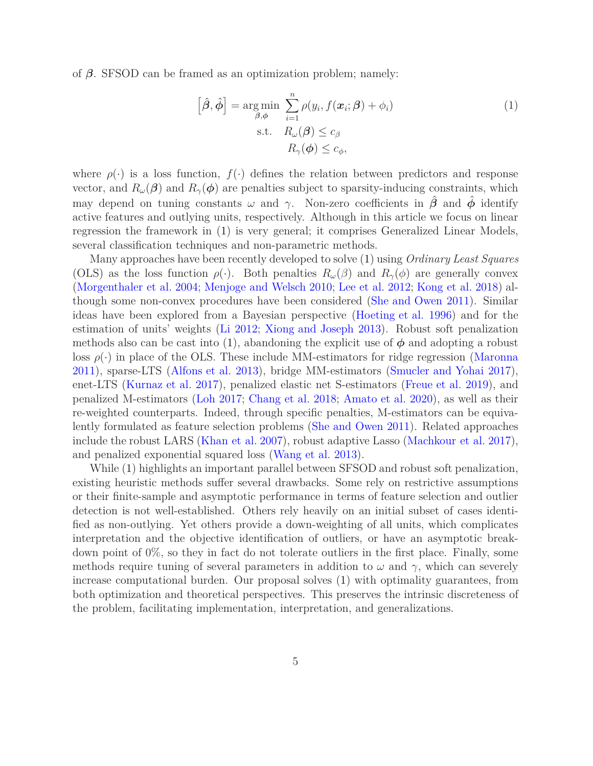of *β*. SFSOD can be framed as an optimization problem; namely:

<span id="page-4-0"></span>
$$
\left[\hat{\boldsymbol{\beta}}, \hat{\boldsymbol{\phi}}\right] = \underset{\boldsymbol{\beta}, \boldsymbol{\phi}}{\arg \min} \sum_{i=1}^{n} \rho(y_i, f(\boldsymbol{x}_i; \boldsymbol{\beta}) + \phi_i)
$$
\n
$$
\text{s.t.} \quad R_{\omega}(\boldsymbol{\beta}) \le c_{\beta}
$$
\n
$$
R_{\gamma}(\boldsymbol{\phi}) \le c_{\phi},
$$
\n
$$
(1)
$$

where  $\rho(\cdot)$  is a loss function,  $f(\cdot)$  defines the relation between predictors and response vector, and  $R_\omega(\beta)$  and  $R_\gamma(\phi)$  are penalties subject to sparsity-inducing constraints, which may depend on tuning constants  $\omega$  and  $\gamma$ . Non-zero coefficients in  $\hat{\beta}$  and  $\hat{\phi}$  identify active features and outlying units, respectively. Although in this article we focus on linear regression the framework in [\(1\)](#page-4-0) is very general; it comprises Generalized Linear Models, several classification techniques and non-parametric methods.

Many approaches have been recently developed to solve [\(1\)](#page-4-0) using *Ordinary Least Squares* (OLS) as the loss function  $\rho(\cdot)$ . Both penalties  $R_\omega(\beta)$  and  $R_\gamma(\phi)$  are generally convex [\(Morgenthaler et al. 2004](#page-27-1); [Menjoge and Welsch 2010;](#page-27-9) [Lee et al. 2012](#page-26-4); [Kong et al. 2018\)](#page-26-5) although some non-convex procedures have been considered [\(She and Owen 2011\)](#page-27-5). Similar ideas have been explored from a Bayesian perspective [\(Hoeting et al. 1996\)](#page-26-6) and for the estimation of units' weights [\(Li 2012;](#page-26-7) [Xiong and Joseph 2013\)](#page-28-5). Robust soft penalization methods also can be cast into [\(1\)](#page-4-0), abandoning the explicit use of  $\phi$  and adopting a robust loss  $\rho(\cdot)$  in place of the OLS. These include MM-estimators for ridge regression [\(Maronna](#page-27-10) [2011](#page-27-10)), sparse-LTS [\(Alfons et al. 2013\)](#page-24-0), bridge MM-estimators [\(Smucler and Yohai 2017\)](#page-28-6), enet-LTS [\(Kurnaz et al. 2017\)](#page-26-8), penalized elastic net S-estimators [\(Freue et al. 2019](#page-25-7)), and penalized M-estimators [\(Loh 2017;](#page-27-11) [Chang et al. 2018;](#page-25-8) [Amato et al. 2020\)](#page-24-3), as well as their re-weighted counterparts. Indeed, through specific penalties, M-estimators can be equivalently formulated as feature selection problems [\(She and Owen 2011](#page-27-5)). Related approaches include the robust LARS [\(Khan et al. 2007\)](#page-26-9), robust adaptive Lasso [\(Machkour et al. 2017\)](#page-27-12), and penalized exponential squared loss [\(Wang et al. 2013\)](#page-28-7).

While [\(1\)](#page-4-0) highlights an important parallel between SFSOD and robust soft penalization, existing heuristic methods suffer several drawbacks. Some rely on restrictive assumptions or their finite-sample and asymptotic performance in terms of feature selection and outlier detection is not well-established. Others rely heavily on an initial subset of cases identified as non-outlying. Yet others provide a down-weighting of all units, which complicates interpretation and the objective identification of outliers, or have an asymptotic breakdown point of 0%, so they in fact do not tolerate outliers in the first place. Finally, some methods require tuning of several parameters in addition to  $\omega$  and  $\gamma$ , which can severely increase computational burden. Our proposal solves [\(1\)](#page-4-0) with optimality guarantees, from both optimization and theoretical perspectives. This preserves the intrinsic discreteness of the problem, facilitating implementation, interpretation, and generalizations.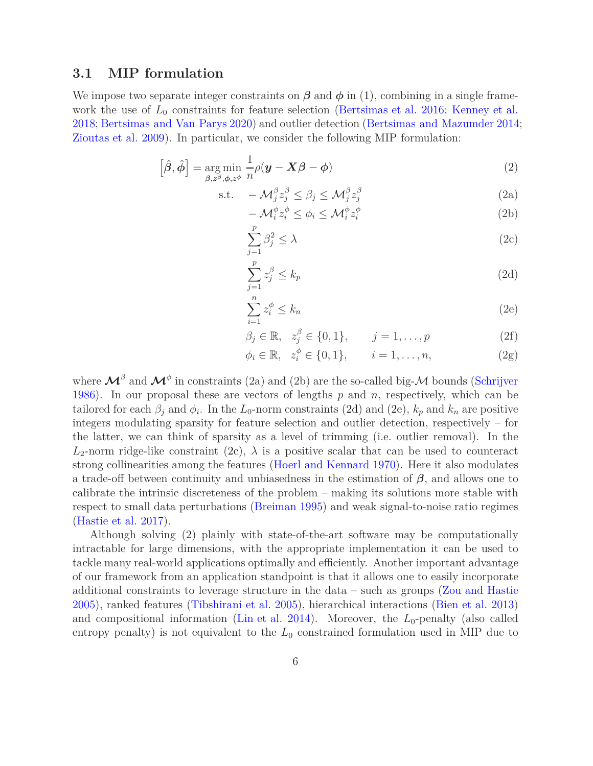#### **3.1 MIP formulation**

We impose two separate integer constraints on  $\beta$  and  $\phi$  in [\(1\)](#page-4-0), combining in a single framework the use of  $L_0$  constraints for feature selection [\(Bertsimas et al. 2016;](#page-25-2) [Kenney et al.](#page-26-10) [2018](#page-26-10); [Bertsimas and Van Parys 2020\)](#page-25-3) and outlier detection [\(Bertsimas and Mazumder 2014;](#page-25-4) [Zioutas et al. 2009\)](#page-28-0). In particular, we consider the following MIP formulation:

$$
\left[\hat{\boldsymbol{\beta}}, \hat{\boldsymbol{\phi}}\right] = \underset{\boldsymbol{\beta}, z^{\beta}, \boldsymbol{\phi}, z^{\phi}}{\arg \min} \frac{1}{n} \rho(\boldsymbol{y} - \boldsymbol{X}\boldsymbol{\beta} - \boldsymbol{\phi})
$$
\n(2)

$$
\text{s.t.} \quad -\mathcal{M}_j^\beta z_j^\beta \le \beta_j \le \mathcal{M}_j^\beta z_j^\beta \tag{2a}
$$

$$
-\mathcal{M}_i^{\phi} z_i^{\phi} \le \phi_i \le \mathcal{M}_i^{\phi} z_i^{\phi} \tag{2b}
$$

<span id="page-5-5"></span><span id="page-5-4"></span><span id="page-5-3"></span><span id="page-5-0"></span>
$$
\sum_{j=1}^{p} \beta_j^2 \le \lambda \tag{2c}
$$

<span id="page-5-1"></span>
$$
\sum_{j=1}^{p} z_j^{\beta} \le k_p \tag{2d}
$$

<span id="page-5-2"></span>
$$
\sum_{i=1}^{n} z_i^{\phi} \le k_n \tag{2e}
$$

$$
\beta_j \in \mathbb{R}, \quad z_j^{\beta} \in \{0, 1\}, \qquad j = 1, \dots, p \tag{2f}
$$

<span id="page-5-6"></span>
$$
\phi_i \in \mathbb{R}, \quad z_i^{\phi} \in \{0, 1\}, \qquad i = 1, \dots, n,
$$
\n(2g)

where  $\mathcal{M}^{\beta}$  and  $\mathcal{M}^{\phi}$  in constraints (2a) and (2b) are the so-called big- $\mathcal M$  bounds [\(Schrijver](#page-27-8) [1986](#page-27-8)). In our proposal these are vectors of lengths *p* and *n*, respectively, which can be tailored for each  $\beta_j$  and  $\phi_i$ . In the *L*<sub>0</sub>-norm constraints [\(2d\)](#page-5-1) and [\(2e\)](#page-5-2),  $k_p$  and  $k_n$  are positive integers modulating sparsity for feature selection and outlier detection, respectively – for the latter, we can think of sparsity as a level of trimming (i.e. outlier removal). In the  $L_2$ -norm ridge-like constraint [\(2c\)](#page-5-3),  $\lambda$  is a positive scalar that can be used to counteract strong collinearities among the features [\(Hoerl and Kennard 1970\)](#page-26-11). Here it also modulates a trade-off between continuity and unbiasedness in the estimation of *β*, and allows one to calibrate the intrinsic discreteness of the problem – making its solutions more stable with respect to small data perturbations [\(Breiman 1995](#page-25-9)) and weak signal-to-noise ratio regimes [\(Hastie et al. 2017\)](#page-26-12).

Although solving [\(2\)](#page-5-0) plainly with state-of-the-art software may be computationally intractable for large dimensions, with the appropriate implementation it can be used to tackle many real-world applications optimally and efficiently. Another important advantage of our framework from an application standpoint is that it allows one to easily incorporate additional constraints to leverage structure in the data – such as groups [\(Zou and Hastie](#page-28-8) [2005](#page-28-8)), ranked features [\(Tibshirani et al. 2005](#page-28-9)), hierarchical interactions [\(Bien et al. 2013\)](#page-25-10) and compositional information [\(Lin et al. 2014\)](#page-26-13). Moreover, the  $L_0$ -penalty (also called entropy penalty) is not equivalent to the  $L_0$  constrained formulation used in MIP due to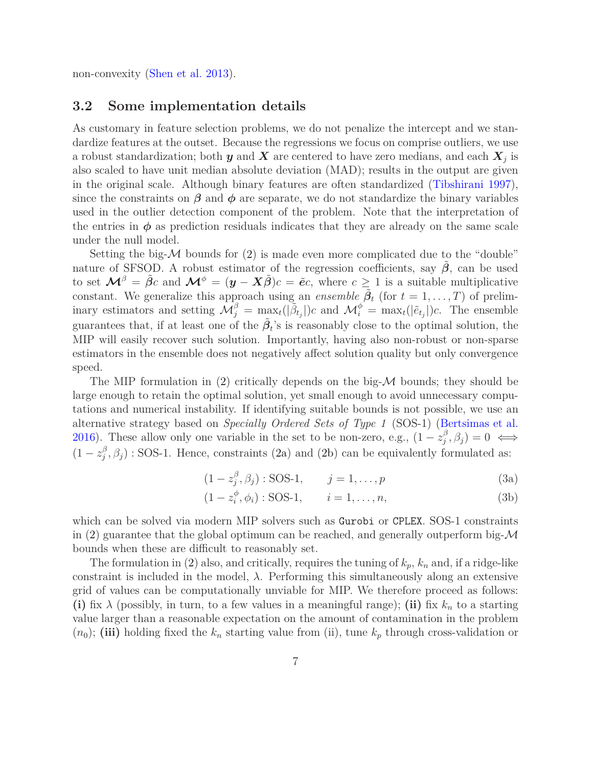<span id="page-6-0"></span>non-convexity [\(Shen et al. 2013](#page-28-10)).

#### **3.2 Some implementation details**

As customary in feature selection problems, we do not penalize the intercept and we standardize features at the outset. Because the regressions we focus on comprise outliers, we use a robust standardization; both  $y$  and  $X$  are centered to have zero medians, and each  $X_j$  is also scaled to have unit median absolute deviation (MAD); results in the output are given in the original scale. Although binary features are often standardized [\(Tibshirani 1997\)](#page-28-11), since the constraints on  $\beta$  and  $\phi$  are separate, we do not standardize the binary variables used in the outlier detection component of the problem. Note that the interpretation of the entries in  $\phi$  as prediction residuals indicates that they are already on the same scale under the null model.

Setting the big- $\mathcal M$  bounds for [\(2\)](#page-5-0) is made even more complicated due to the "double" nature of SFSOD. A robust estimator of the regression coefficients, say  $\hat{\beta}$ , can be used to set  $\mathcal{M}^{\beta} = \tilde{\beta}c$  and  $\mathcal{M}^{\phi} = (\mathbf{y} - \mathbf{X}\tilde{\beta})c = \tilde{e}c$ , where  $c \geq 1$  is a suitable multiplicative constant. We generalize this approach using an *ensemble*  $\tilde{\beta}_t$  (for  $t = 1, \ldots, T$ ) of preliminary estimators and setting  $\mathcal{M}_{j}^{\beta} = \max_{z} \left( |\tilde{\beta}_{t_{j}}| \right) c$  and  $\mathcal{M}_{i}^{\phi} = \max_{t} (|\tilde{e}_{t_{j}}|) c$ . The ensemble guarantees that, if at least one of the  $\tilde{\beta}_t$ 's is reasonably close to the optimal solution, the MIP will easily recover such solution. Importantly, having also non-robust or non-sparse estimators in the ensemble does not negatively affect solution quality but only convergence speed.

The MIP formulation in  $(2)$  critically depends on the big- $\mathcal M$  bounds; they should be large enough to retain the optimal solution, yet small enough to avoid unnecessary computations and numerical instability. If identifying suitable bounds is not possible, we use an alternative strategy based on *Specially Ordered Sets of Type 1* (SOS-1) [\(Bertsimas et al.](#page-25-2) [2016](#page-25-2)). These allow only one variable in the set to be non-zero, e.g.,  $(1 - z_j^{\beta})$  $j^{\beta}, \beta_j$ ) = 0  $\iff$  $(1-z_j^{\beta})$  $j^{\beta}, \beta_j$  : SOS-1. Hence, constraints [\(2a\)](#page-5-4) and [\(2b\)](#page-5-5) can be equivalently formulated as:

$$
(1 - z_j^{\beta}, \beta_j) : SOS-1, \qquad j = 1, \dots, p \tag{3a}
$$

$$
(1 - z_i^{\phi}, \phi_i) : SOS-1, \qquad i = 1, \dots, n,
$$
 (3b)

which can be solved via modern MIP solvers such as Gurobi or CPLEX. SOS-1 constraints in [\(2\)](#page-5-0) guarantee that the global optimum can be reached, and generally outperform big- $\mathcal M$ bounds when these are difficult to reasonably set.

The formulation in [\(2\)](#page-5-0) also, and critically, requires the tuning of  $k_p$ ,  $k_n$  and, if a ridge-like constraint is included in the model,  $\lambda$ . Performing this simultaneously along an extensive grid of values can be computationally unviable for MIP. We therefore proceed as follows: **(i)** fix  $\lambda$  (possibly, in turn, to a few values in a meaningful range); **(ii)** fix  $k_n$  to a starting value larger than a reasonable expectation on the amount of contamination in the problem  $(n_0)$ ; (iii) holding fixed the  $k_n$  starting value from (ii), tune  $k_p$  through cross-validation or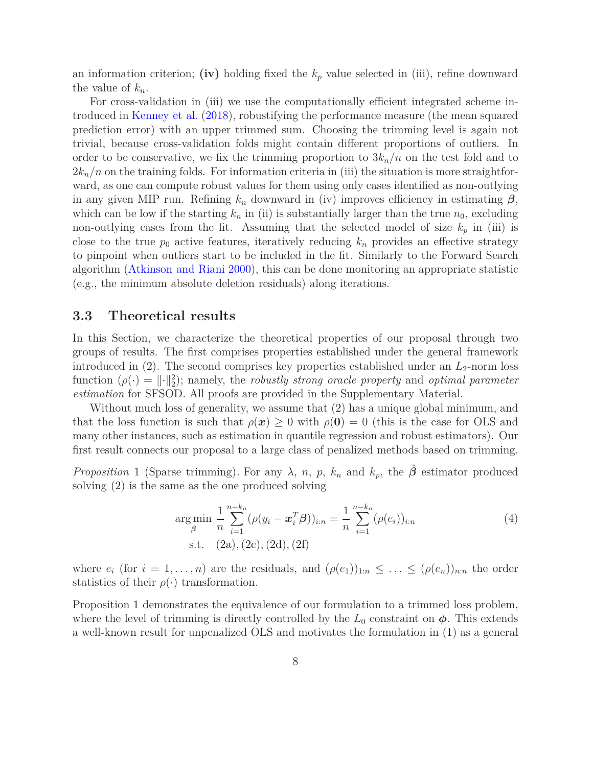an information criterion; **(iv)** holding fixed the  $k_p$  value selected in (iii), refine downward the value of  $k_n$ .

For cross-validation in (iii) we use the computationally efficient integrated scheme introduced in [Kenney et al.](#page-26-10) [\(2018\)](#page-26-10), robustifying the performance measure (the mean squared prediction error) with an upper trimmed sum. Choosing the trimming level is again not trivial, because cross-validation folds might contain different proportions of outliers. In order to be conservative, we fix the trimming proportion to  $3k_n/n$  on the test fold and to  $2k_n/n$  on the training folds. For information criteria in (iii) the situation is more straightforward, as one can compute robust values for them using only cases identified as non-outlying in any given MIP run. Refining  $k_n$  downward in (iv) improves efficiency in estimating  $\beta$ , which can be low if the starting  $k_n$  in (ii) is substantially larger than the true  $n_0$ , excluding non-outlying cases from the fit. Assuming that the selected model of size  $k_p$  in (iii) is close to the true  $p_0$  active features, iteratively reducing  $k_n$  provides an effective strategy to pinpoint when outliers start to be included in the fit. Similarly to the Forward Search algorithm [\(Atkinson and Riani 2000](#page-24-4)), this can be done monitoring an appropriate statistic (e.g., the minimum absolute deletion residuals) along iterations.

#### <span id="page-7-0"></span>**3.3 Theoretical results**

In this Section, we characterize the theoretical properties of our proposal through two groups of results. The first comprises properties established under the general framework introduced in  $(2)$ . The second comprises key properties established under an  $L_2$ -norm loss function  $(\rho(\cdot) = ||\cdot||_2^2)$ ; namely, the *robustly strong oracle property* and *optimal parameter estimation* for SFSOD. All proofs are provided in the Supplementary Material.

Without much loss of generality, we assume that [\(2\)](#page-5-0) has a unique global minimum, and that the loss function is such that  $\rho(x) \geq 0$  with  $\rho(0) = 0$  (this is the case for OLS and many other instances, such as estimation in quantile regression and robust estimators). Our first result connects our proposal to a large class of penalized methods based on trimming.

<span id="page-7-1"></span>*Proposition* 1 (Sparse trimming). For any  $\lambda$ , *n*, *p*,  $k_n$  and  $k_p$ , the  $\hat{\beta}$  estimator produced solving [\(2\)](#page-5-0) is the same as the one produced solving

<span id="page-7-2"></span>
$$
\underset{\beta}{\arg\min} \frac{1}{n} \sum_{i=1}^{n-k_n} (\rho(y_i - \boldsymbol{x}_i^T \boldsymbol{\beta}))_{i:n} = \frac{1}{n} \sum_{i=1}^{n-k_n} (\rho(e_i))_{i:n}
$$
\n
$$
\text{s.t.} \quad (2a), (2c), (2d), (2f)
$$
\n
$$
(4)
$$

where  $e_i$  (for  $i = 1, \ldots, n$ ) are the residuals, and  $(\rho(e_1))_{1:n} \leq \ldots \leq (\rho(e_n))_{n:n}$  the order statistics of their  $\rho(\cdot)$  transformation.

Proposition [1](#page-7-1) demonstrates the equivalence of our formulation to a trimmed loss problem, where the level of trimming is directly controlled by the  $L_0$  constraint on  $\phi$ . This extends a well-known result for unpenalized OLS and motivates the formulation in [\(1\)](#page-4-0) as a general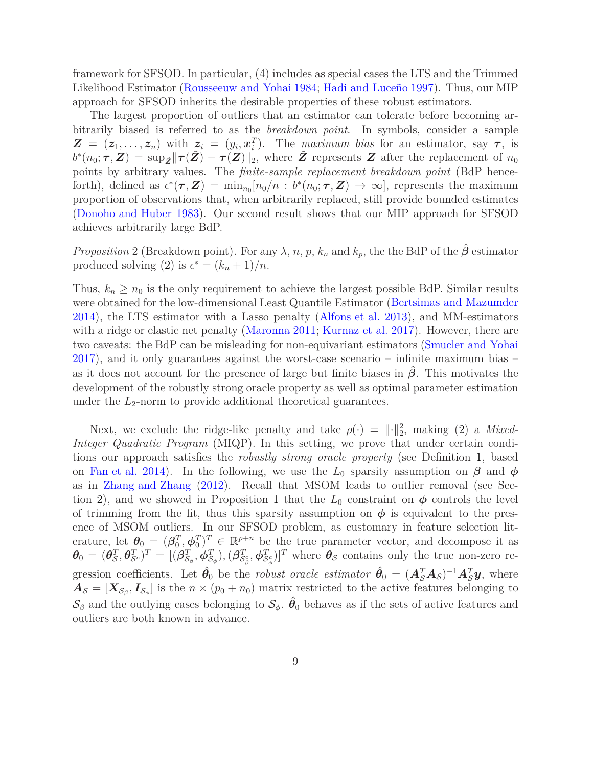framework for SFSOD. In particular, [\(4\)](#page-7-2) includes as special cases the LTS and the Trimmed Likelihood Estimator [\(Rousseeuw and Yohai 1984](#page-27-13); [Hadi and Luceño 1997\)](#page-26-14). Thus, our MIP approach for SFSOD inherits the desirable properties of these robust estimators.

The largest proportion of outliers that an estimator can tolerate before becoming arbitrarily biased is referred to as the *breakdown point*. In symbols, consider a sample  $\mathbf{Z} = (z_1, \ldots, z_n)$  with  $z_i = (y_i, x_i^T)$ . The *maximum bias* for an estimator, say  $\tau$ , is  $b^*(n_0; \tau, Z) = \sup_{\tilde{Z}} ||\tau(\tilde{Z}) - \tau(Z)||_2$ , where  $\tilde{Z}$  represents *Z* after the replacement of  $n_0$ points by arbitrary values. The *finite-sample replacement breakdown point* (BdP henceforth), defined as  $\epsilon^*(\tau, \mathbf{Z}) = \min_{n_0} [n_0/n : b^*(n_0; \tau, \mathbf{Z}) \to \infty]$ , represents the maximum proportion of observations that, when arbitrarily replaced, still provide bounded estimates [\(Donoho and Huber 1983\)](#page-25-11). Our second result shows that our MIP approach for SFSOD achieves arbitrarily large BdP.

<span id="page-8-0"></span>*Proposition* 2 (Breakdown point). For any  $\lambda$ , *n*, *p*,  $k_n$  and  $k_p$ , the the BdP of the  $\hat{\beta}$  estimator produced solving [\(2\)](#page-5-0) is  $\epsilon^* = (k_n + 1)/n$ .

Thus,  $k_n \geq n_0$  is the only requirement to achieve the largest possible BdP. Similar results were obtained for the low-dimensional Least Quantile Estimator [\(Bertsimas and Mazumder](#page-25-4) [2014](#page-25-4)), the LTS estimator with a Lasso penalty [\(Alfons et al. 2013\)](#page-24-0), and MM-estimators with a ridge or elastic net penalty [\(Maronna 2011](#page-27-10); [Kurnaz et al. 2017\)](#page-26-8). However, there are two caveats: the BdP can be misleading for non-equivariant estimators [\(Smucler and Yohai](#page-28-6) [2017](#page-28-6)), and it only guarantees against the worst-case scenario – infinite maximum bias – as it does not account for the presence of large but finite biases in *β*ˆ. This motivates the development of the robustly strong oracle property as well as optimal parameter estimation under the *L*2-norm to provide additional theoretical guarantees.

Next, we exclude the ridge-like penalty and take  $\rho(\cdot) = ||\cdot||_2^2$ , making [\(2\)](#page-5-0) a *Mixed*-*Integer Quadratic Program* (MIQP). In this setting, we prove that under certain conditions our approach satisfies the *robustly strong oracle property* (see Definition [1,](#page-9-0) based on [Fan et al. 2014\)](#page-25-12). In the following, we use the  $L_0$  sparsity assumption on  $\beta$  and  $\phi$ as in [Zhang and Zhang](#page-28-12) [\(2012](#page-28-12)). Recall that MSOM leads to outlier removal (see Sec-tion [2\)](#page-2-0), and we showed in Proposition [1](#page-7-1) that the  $L_0$  constraint on  $\phi$  controls the level of trimming from the fit, thus this sparsity assumption on  $\phi$  is equivalent to the presence of MSOM outliers. In our SFSOD problem, as customary in feature selection literature, let  $\theta_0 = (\beta_0^T, \phi_0^T)^T \in \mathbb{R}^{p+n}$  be the true parameter vector, and decompose it as  $\bm{\theta}_0 = (\bm{\theta}_{\mathcal{S}}^T, \bm{\theta}_{\mathcal{S}^c}^T)^T = [(\bm{\beta}_{\mathcal{S}_{\beta}}^T, \bm{\phi}_{\mathcal{S}_{\phi}}^T), (\bm{\beta}_{\mathcal{S}_{\beta}^c}^T, \bm{\phi}_{\mathcal{S}_{\phi}^c}^T)]^T$  where  $\bm{\theta}_{\mathcal{S}}$  contains only the true non-zero regression coefficients. Let  $\hat{\theta}_0$  be the *robust oracle estimator*  $\hat{\theta}_0 = (A_S^T A_S)^{-1} A_S^T \mathbf{y}$ , where  $A_{\mathcal{S}} = [X_{\mathcal{S}_{\beta}}, I_{\mathcal{S}_{\phi}}]$  is the  $n \times (p_0 + n_0)$  matrix restricted to the active features belonging to  $\mathcal{S}_{\beta}$  and the outlying cases belonging to  $\mathcal{S}_{\phi}$ .  $\hat{\theta}_0$  behaves as if the sets of active features and outliers are both known in advance.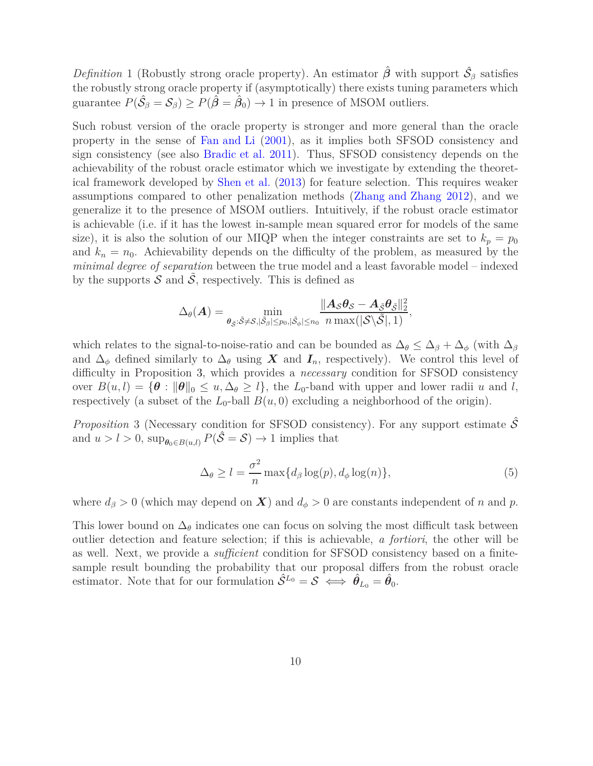<span id="page-9-0"></span>*Definition* 1 (Robustly strong oracle property). An estimator  $\hat{\beta}$  with support  $\hat{S}_{\beta}$  satisfies the robustly strong oracle property if (asymptotically) there exists tuning parameters which guarantee  $P(\hat{S}_{\beta} = S_{\beta}) \ge P(\hat{\beta} = \hat{\beta}_0) \to 1$  in presence of MSOM outliers.

Such robust version of the oracle property is stronger and more general than the oracle property in the sense of [Fan and Li](#page-25-6) [\(2001\)](#page-25-6), as it implies both SFSOD consistency and sign consistency (see also [Bradic et al. 2011\)](#page-25-13). Thus, SFSOD consistency depends on the achievability of the robust oracle estimator which we investigate by extending the theoretical framework developed by [Shen et al.](#page-28-10) [\(2013\)](#page-28-10) for feature selection. This requires weaker assumptions compared to other penalization methods [\(Zhang and Zhang 2012\)](#page-28-12), and we generalize it to the presence of MSOM outliers. Intuitively, if the robust oracle estimator is achievable (i.e. if it has the lowest in-sample mean squared error for models of the same size), it is also the solution of our MIQP when the integer constraints are set to  $k_p = p_0$ and  $k_n = n_0$ . Achievability depends on the difficulty of the problem, as measured by the *minimal degree of separation* between the true model and a least favorable model – indexed by the supports  $S$  and  $S$ , respectively. This is defined as

$$
\Delta_{\theta}(\boldsymbol{A}) = \min_{\boldsymbol{\theta}_{\tilde{\mathcal{S}}}: \tilde{\mathcal{S}} \neq \mathcal{S}, |\tilde{\mathcal{S}}_{\beta}| \leq p_0, |\tilde{\mathcal{S}}_{\phi}| \leq n_0} \frac{\|\boldsymbol{A}_{\mathcal{S}} \boldsymbol{\theta}_{\mathcal{S}} - \boldsymbol{A}_{\tilde{\mathcal{S}}} \boldsymbol{\theta}_{\tilde{\mathcal{S}}}\|_2^2}{n \max(|\mathcal{S} \backslash \tilde{\mathcal{S}}|, 1)},
$$

which relates to the signal-to-noise-ratio and can be bounded as  $\Delta_{\theta} \leq \Delta_{\beta} + \Delta_{\phi}$  (with  $\Delta_{\beta}$ and  $\Delta_{\phi}$  defined similarly to  $\Delta_{\theta}$  using *X* and  $I_n$ , respectively). We control this level of difficulty in Proposition [3,](#page-9-1) which provides a *necessary* condition for SFSOD consistency over  $B(u, l) = {\theta : ||\theta||_0 \le u, \Delta_\theta \ge l}$ , the *L*<sub>0</sub>-band with upper and lower radii *u* and *l*, respectively (a subset of the  $L_0$ -ball  $B(u, 0)$  excluding a neighborhood of the origin).

<span id="page-9-1"></span>*Proposition* 3 (Necessary condition for SFSOD consistency). For any support estimate  $\hat{\mathcal{S}}$ and  $u > l > 0$ ,  $\sup_{\theta_0 \in B(u,l)} P(\hat{S} = S) \to 1$  implies that

<span id="page-9-2"></span>
$$
\Delta_{\theta} \ge l = \frac{\sigma^2}{n} \max\{d_{\beta}\log(p), d_{\phi}\log(n)\},\tag{5}
$$

where  $d_{\beta} > 0$  (which may depend on *X*) and  $d_{\phi} > 0$  are constants independent of *n* and *p*.

This lower bound on  $\Delta_{\theta}$  indicates one can focus on solving the most difficult task between outlier detection and feature selection; if this is achievable, *a fortiori*, the other will be as well. Next, we provide a *sufficient* condition for SFSOD consistency based on a finitesample result bounding the probability that our proposal differs from the robust oracle estimator. Note that for our formulation  $\hat{S}^{L_0} = S \iff \hat{\theta}_{L_0} = \hat{\theta}_0$ .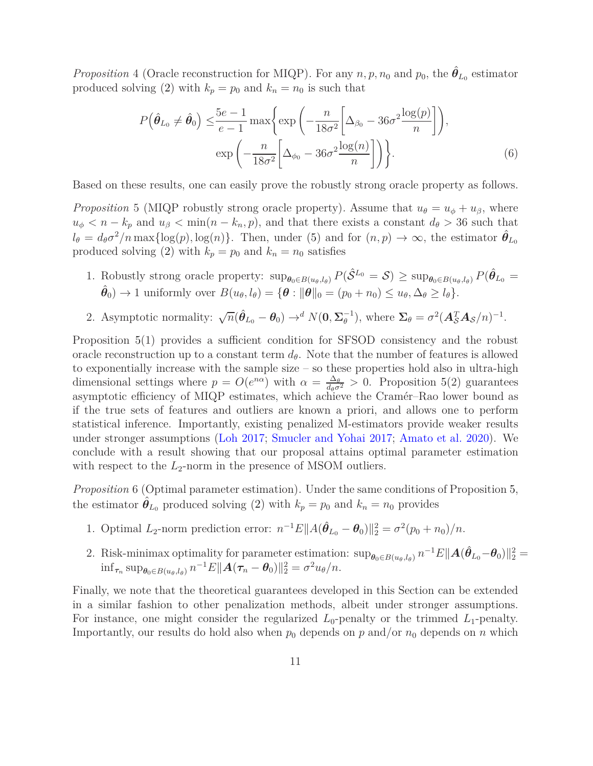<span id="page-10-1"></span>*Proposition* 4 (Oracle reconstruction for MIQP). For any  $n, p, n_0$  and  $p_0$ , the  $\hat{\theta}_{L_0}$  estimator produced solving [\(2\)](#page-5-0) with  $k_p = p_0$  and  $k_n = n_0$  is such that

<span id="page-10-2"></span>
$$
P(\hat{\theta}_{L_0} \neq \hat{\theta}_0) \leq \frac{5e-1}{e-1} \max \left\{ \exp\left(-\frac{n}{18\sigma^2} \left[\Delta_{\beta_0} - 36\sigma^2 \frac{\log(p)}{n}\right]\right), \exp\left(-\frac{n}{18\sigma^2} \left[\Delta_{\phi_0} - 36\sigma^2 \frac{\log(n)}{n}\right]\right) \right\}.
$$
 (6)

Based on these results, one can easily prove the robustly strong oracle property as follows.

<span id="page-10-0"></span>*Proposition* 5 (MIQP robustly strong oracle property). Assume that  $u_{\theta} = u_{\phi} + u_{\beta}$ , where  $u_{\phi} < n - k_p$  and  $u_{\beta} < \min(n - k_n, p)$ , and that there exists a constant  $d_{\theta} > 36$  such that  $l_{\theta} = d_{\theta}\sigma^2/n \max\{\log(p), \log(n)\}\$ . Then, under [\(5\)](#page-9-2) and for  $(n, p) \to \infty$ , the estimator  $\hat{\theta}_{L_0}$ produced solving [\(2\)](#page-5-0) with  $k_p = p_0$  and  $k_n = n_0$  satisfies

- 1. Robustly strong oracle property:  $\sup_{\theta_0 \in B(u_\theta, l_\theta)} P(\hat{S}^{L_0} = S) \geq \sup_{\theta_0 \in B(u_\theta, l_\theta)} P(\hat{\theta}_{L_0} = S)$  $\hat{\theta}_0$   $\to$  1 uniformly over  $B(u_{\theta}, l_{\theta}) = {\theta : ||\theta||_0} = (p_0 + n_0) \le u_{\theta}, \Delta_{\theta} \ge l_{\theta}}.$
- 2. Asymptotic normality:  $\sqrt{n}(\hat{\theta}_{L_0} \theta_0) \rightarrow^d N(\mathbf{0}, \Sigma_{\theta}^{-1})$  $\sigma^2(A_S^T A_S/n)^{-1}$ .

Proposition [5\(](#page-10-0)1) provides a sufficient condition for SFSOD consistency and the robust oracle reconstruction up to a constant term  $d_{\theta}$ . Note that the number of features is allowed to exponentially increase with the sample size – so these properties hold also in ultra-high dimensional settings where  $p = O(e^{n\alpha})$  with  $\alpha = \frac{\Delta_{\theta}}{d_{\theta}\sigma^2} > 0$ . Proposition [5\(](#page-10-0)2) guarantees asymptotic efficiency of MIQP estimates, which achieve the Cramér–Rao lower bound as if the true sets of features and outliers are known a priori, and allows one to perform statistical inference. Importantly, existing penalized M-estimators provide weaker results under stronger assumptions [\(Loh 2017](#page-27-11); [Smucler and Yohai 2017](#page-28-6); [Amato et al. 2020\)](#page-24-3). We conclude with a result showing that our proposal attains optimal parameter estimation with respect to the  $L_2$ -norm in the presence of MSOM outliers.

<span id="page-10-3"></span>*Proposition* 6 (Optimal parameter estimation)*.* Under the same conditions of Proposition [5,](#page-10-0) the estimator  $\hat{\theta}_{L_0}$  produced solving [\(2\)](#page-5-0) with  $k_p = p_0$  and  $k_n = n_0$  provides

- 1. Optimal *L*<sub>2</sub>-norm prediction error:  $n^{-1}E||A(\hat{\theta}_{L_0} \theta_0)||_2^2 = \sigma^2(p_0 + n_0)/n$ .
- 2. Risk-minimax optimality for parameter estimation:  $\sup_{\theta_0 \in B(u_{\theta}, l_{\theta})} n^{-1} E \|\mathbf{A}(\hat{\theta}_{L_0} \theta_0)\|_2^2 =$  $\inf_{\tau_n} \sup_{\theta_0 \in B(u_\theta, l_\theta)} n^{-1} E \Vert A(\tau_n - \theta_0) \Vert_2^2 = \sigma^2 u_\theta/n.$

Finally, we note that the theoretical guarantees developed in this Section can be extended in a similar fashion to other penalization methods, albeit under stronger assumptions. For instance, one might consider the regularized  $L_0$ -penalty or the trimmed  $L_1$ -penalty. Importantly, our results do hold also when  $p_0$  depends on  $p$  and/or  $n_0$  depends on  $n$  which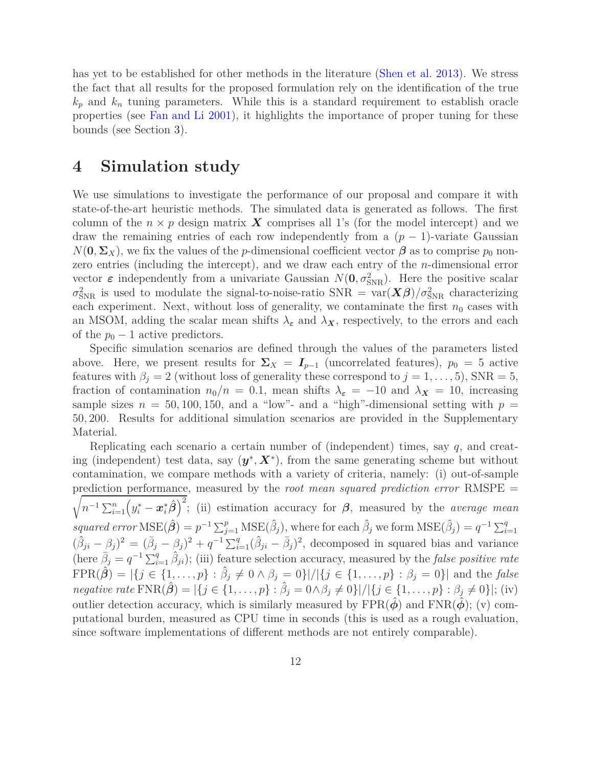has yet to be established for other methods in the literature [\(Shen et al. 2013\)](#page-28-10). We stress the fact that all results for the proposed formulation rely on the identification of the true  $k_p$  and  $k_n$  tuning parameters. While this is a standard requirement to establish oracle properties (see [Fan and Li 2001\)](#page-25-6), it highlights the importance of proper tuning for these bounds (see Section [3\)](#page-3-0).

#### <span id="page-11-0"></span>**4 Simulation study**

We use simulations to investigate the performance of our proposal and compare it with state-of-the-art heuristic methods. The simulated data is generated as follows. The first column of the  $n \times p$  design matrix **X** comprises all 1's (for the model intercept) and we draw the remaining entries of each row independently from a  $(p-1)$ -variate Gaussian  $N(\mathbf{0}, \Sigma_X)$ , we fix the values of the *p*-dimensional coefficient vector  $\beta$  as to comprise  $p_0$  nonzero entries (including the intercept), and we draw each entry of the *n*-dimensional error vector  $\varepsilon$  independently from a univariate Gaussian  $N(\mathbf{0}, \sigma_{SNR}^2)$ . Here the positive scalar  $\sigma_{\text{SNR}}^2$  is used to modulate the signal-to-noise-ratio SNR =  $var(\mathbf{X}\boldsymbol{\beta})/\sigma_{\text{SNR}}^2$  characterizing each experiment. Next, without loss of generality, we contaminate the first  $n_0$  cases with an MSOM, adding the scalar mean shifts  $\lambda_{\varepsilon}$  and  $\lambda_{X}$ , respectively, to the errors and each of the  $p_0 - 1$  active predictors.

Specific simulation scenarios are defined through the values of the parameters listed above. Here, we present results for  $\Sigma_X = I_{p-1}$  (uncorrelated features),  $p_0 = 5$  active features with  $\beta_i = 2$  (without loss of generality these correspond to  $j = 1, \ldots, 5$ ), SNR = 5, fraction of contamination  $n_0/n = 0.1$ , mean shifts  $\lambda_{\epsilon} = -10$  and  $\lambda_{\chi} = 10$ , increasing sample sizes  $n = 50, 100, 150,$  and a "low"- and a "high"-dimensional setting with  $p =$ 50*,* 200. Results for additional simulation scenarios are provided in the Supplementary Material.

Replicating each scenario a certain number of (independent) times, say *q*, and creating (independent) test data, say  $(y^*, X^*)$ , from the same generating scheme but without contamination, we compare methods with a variety of criteria, namely: (i) out-of-sample prediction performance, measured by the *root mean squared prediction error* RMSPE =  $\sqrt{n^{-1}\sum_{i=1}^{n}(y_i^* - \boldsymbol{x}_i^*\boldsymbol{\hat{\beta}})^2}$ ; (ii) estimation accuracy for *β*, measured by the *average mean squared error*  $MSE(\hat{\beta}) = p^{-1} \sum_{j=1}^{p} MSE(\hat{\beta}_j)$ , where for each  $\hat{\beta}_j$  we form  $MSE(\hat{\beta}_j) = q^{-1} \sum_{i=1}^{q}$  $(\hat{\beta}_{ji} - \hat{\beta}_j)^2 = (\bar{\beta}_j - \hat{\beta}_j)^2 + q^{-1} \sum_{i=1}^q (\hat{\beta}_{ji} - \bar{\beta}_j)^2$ , decomposed in squared bias and variance (here  $\bar{\beta}_j = q^{-1} \sum_{i=1}^q \hat{\beta}_{ji}$ ); (iii) feature selection accuracy, measured by the *false positive rate*  $FPR(\hat{\beta}) = |\{j \in \{1, ..., p\} : \hat{\beta}_j \neq 0 \land \beta_j = 0\}| / |\{j \in \{1, ..., p\} : \beta_j = 0\}|$  and the *false negative rate*  $\text{FNR}(\hat{\beta}) = |\{j \in \{1, ..., p\} : \hat{\beta}_j = 0 \land \beta_j \neq 0\}| / |\{j \in \{1, ..., p\} : \beta_j \neq 0\}|$ ; (iv) outlier detection accuracy, which is similarly measured by  $FPR(\phi)$  and  $FNR(\phi)$ ; (v) computational burden, measured as CPU time in seconds (this is used as a rough evaluation, since software implementations of different methods are not entirely comparable).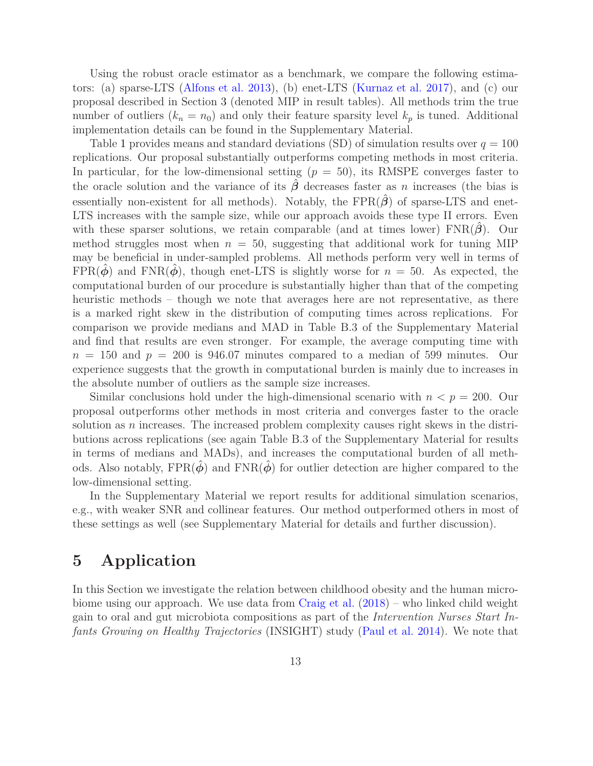Using the robust oracle estimator as a benchmark, we compare the following estimators: (a) sparse-LTS [\(Alfons et al. 2013\)](#page-24-0), (b) enet-LTS [\(Kurnaz et al. 2017\)](#page-26-8), and (c) our proposal described in Section [3](#page-3-0) (denoted MIP in result tables). All methods trim the true number of outliers  $(k_n = n_0)$  and only their feature sparsity level  $k_p$  is tuned. Additional implementation details can be found in the Supplementary Material.

Table [1](#page-13-0) provides means and standard deviations (SD) of simulation results over  $q = 100$ replications. Our proposal substantially outperforms competing methods in most criteria. In particular, for the low-dimensional setting  $(p = 50)$ , its RMSPE converges faster to the oracle solution and the variance of its  $\hat{\beta}$  decreases faster as *n* increases (the bias is essentially non-existent for all methods). Notably, the  $FPR(\hat{\beta})$  of sparse-LTS and enet-LTS increases with the sample size, while our approach avoids these type II errors. Even with these sparser solutions, we retain comparable (and at times lower)  $FNR(\beta)$ . Our method struggles most when  $n = 50$ , suggesting that additional work for tuning MIP may be beneficial in under-sampled problems. All methods perform very well in terms of FPR $(\phi)$  and FNR $(\phi)$ , though enet-LTS is slightly worse for  $n = 50$ . As expected, the computational burden of our procedure is substantially higher than that of the competing heuristic methods – though we note that averages here are not representative, as there is a marked right skew in the distribution of computing times across replications. For comparison we provide medians and MAD in Table B.3 of the Supplementary Material and find that results are even stronger. For example, the average computing time with  $n = 150$  and  $p = 200$  is 946.07 minutes compared to a median of 599 minutes. Our experience suggests that the growth in computational burden is mainly due to increases in the absolute number of outliers as the sample size increases.

Similar conclusions hold under the high-dimensional scenario with  $n < p = 200$ . Our proposal outperforms other methods in most criteria and converges faster to the oracle solution as *n* increases. The increased problem complexity causes right skews in the distributions across replications (see again Table B.3 of the Supplementary Material for results in terms of medians and MADs), and increases the computational burden of all methods. Also notably,  $FPR(\hat{\phi})$  and  $FNR(\hat{\phi})$  for outlier detection are higher compared to the low-dimensional setting.

In the Supplementary Material we report results for additional simulation scenarios, e.g., with weaker SNR and collinear features. Our method outperformed others in most of these settings as well (see Supplementary Material for details and further discussion).

### <span id="page-12-0"></span>**5 Application**

In this Section we investigate the relation between childhood obesity and the human microbiome using our approach. We use data from [Craig et al.](#page-25-14) [\(2018\)](#page-25-14) – who linked child weight gain to oral and gut microbiota compositions as part of the *Intervention Nurses Start Infants Growing on Healthy Trajectories* (INSIGHT) study [\(Paul et al. 2014\)](#page-27-14). We note that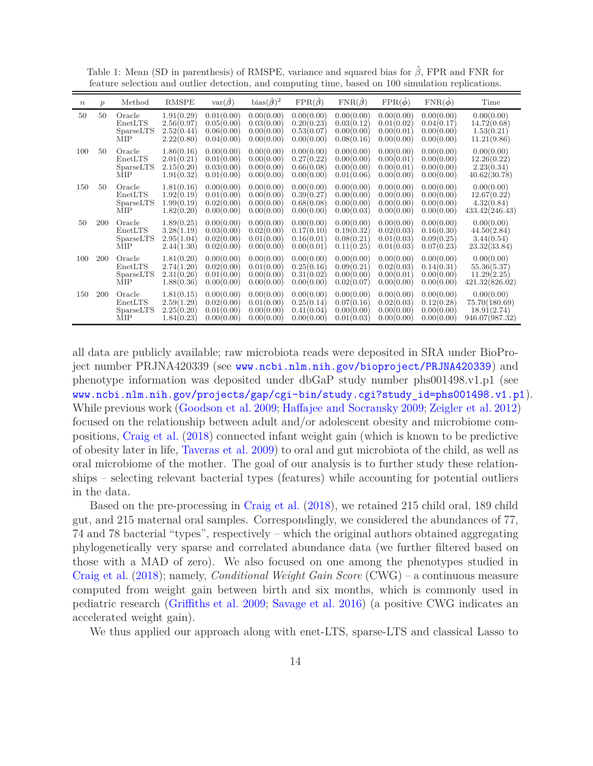| $\boldsymbol{n}$ | $\mathcal{p}$ | Method                                       | <b>RMSPE</b>                                         | $var(\hat{\beta})$                                   | bias $(\hat{\beta})^2$                               | $\text{FPR}(\hat{\beta})$                            | $\text{FNR}(\hat{\beta})$                            | $\text{FPR}(\hat{\phi})$                             | $\text{FNR}(\hat{\phi})$                             | Time                                                         |
|------------------|---------------|----------------------------------------------|------------------------------------------------------|------------------------------------------------------|------------------------------------------------------|------------------------------------------------------|------------------------------------------------------|------------------------------------------------------|------------------------------------------------------|--------------------------------------------------------------|
| 50               | $50^{\circ}$  | Oracle<br>EnetLTS<br>SparseLTS<br><b>MIP</b> | 1.91(0.29)<br>2.56(0.97)<br>2.52(0.44)<br>2.22(0.80) | 0.01(0.00)<br>0.05(0.00)<br>0.06(0.00)<br>0.04(0.00) | 0.00(0.00)<br>0.03(0.00)<br>0.00(0.00)<br>0.00(0.00) | 0.00(0.00)<br>0.20(0.23)<br>0.53(0.07)<br>0.00(0.00) | 0.00(0.00)<br>0.03(0.12)<br>0.00(0.00)<br>0.08(0.16) | 0.00(0.00)<br>0.01(0.02)<br>0.00(0.01)<br>0.00(0.00) | 0.00(0.00)<br>0.04(0.17)<br>0.00(0.00)<br>0.00(0.00) | 0.00(0.00)<br>14.72(0.68)<br>1.53(0.21)<br>11.21(9.86)       |
| 100              | 50            | Oracle<br>EnetLTS<br>SparseLTS<br><b>MIP</b> | 1.86(0.16)<br>2.01(0.21)<br>2.15(0.20)<br>1.91(0.32) | 0.00(0.00)<br>0.01(0.00)<br>0.03(0.00)<br>0.01(0.00) | 0.00(0.00)<br>0.00(0.00)<br>0.00(0.00)<br>0.00(0.00) | 0.00(0.00)<br>0.27(0.22)<br>0.66(0.08)<br>0.00(0.00) | 0.00(0.00)<br>0.00(0.00)<br>0.00(0.00)<br>0.01(0.06) | 0.00(0.00)<br>0.00(0.01)<br>0.00(0.01)<br>0.00(0.00) | 0.00(0.00)<br>0.00(0.00)<br>0.00(0.00)<br>0.00(0.00) | 0.00(0.00)<br>12.26(0.22)<br>2.23(0.34)<br>40.62(30.78)      |
| 150              | 50            | Oracle<br>EnetLTS<br>SparseLTS<br><b>MIP</b> | 1.81(0.16)<br>1.92(0.19)<br>1.99(0.19)<br>1.82(0.20) | 0.00(0.00)<br>0.01(0.00)<br>0.02(0.00)<br>0.00(0.00) | 0.00(0.00)<br>0.00(0.00)<br>0.00(0.00)<br>0.00(0.00) | 0.00(0.00)<br>0.39(0.27)<br>0.68(0.08)<br>0.00(0.00) | 0.00(0.00)<br>0.00(0.00)<br>0.00(0.00)<br>0.00(0.03) | 0.00(0.00)<br>0.00(0.00)<br>0.00(0.00)<br>0.00(0.00) | 0.00(0.00)<br>0.00(0.00)<br>0.00(0.00)<br>0.00(0.00) | 0.00(0.00)<br>12.67(0.22)<br>4.32(0.84)<br>433.42(246.43)    |
| 50               | 200           | Oracle<br>EnetLTS<br>SparseLTS<br><b>MIP</b> | 1.89(0.25)<br>3.28(1.19)<br>2.95(1.04)<br>2.44(1.30) | 0.00(0.00)<br>0.03(0.00)<br>0.02(0.00)<br>0.02(0.00) | 0.00(0.00)<br>0.02(0.00)<br>0.01(0.00)<br>0.00(0.00) | 0.00(0.00)<br>0.17(0.10)<br>0.16(0.01)<br>0.00(0.01) | 0.00(0.00)<br>0.19(0.32)<br>0.08(0.21)<br>0.11(0.25) | 0.00(0.00)<br>0.02(0.03)<br>0.01(0.03)<br>0.01(0.03) | 0.00(0.00)<br>0.16(0.30)<br>0.09(0.25)<br>0.07(0.23) | 0.00(0.00)<br>44.50(2.84)<br>3.44(0.54)<br>23.32(33.84)      |
| 100              | 200           | Oracle<br>EnetLTS<br>SparseLTS<br>МIР        | 1.81(0.20)<br>2.74(1.20)<br>2.31(0.26)<br>1.88(0.36) | 0.00(0.00)<br>0.02(0.00)<br>0.01(0.00)<br>0.00(0.00) | 0.00(0.00)<br>0.01(0.00)<br>0.00(0.00)<br>0.00(0.00) | 0.00(0.00)<br>0.25(0.16)<br>0.31(0.02)<br>0.00(0.00) | 0.00(0.00)<br>0.09(0.21)<br>0.00(0.00)<br>0.02(0.07) | 0.00(0.00)<br>0.02(0.03)<br>0.00(0.01)<br>0.00(0.00) | 0.00(0.00)<br>0.14(0.31)<br>0.00(0.00)<br>0.00(0.00) | 0.00(0.00)<br>55.36(5.37)<br>11.29(2.25)<br>421.32(826.02)   |
| 150              | 200           | Oracle<br>EnetLTS<br>SparseLTS<br>MIP        | 1.81(0.15)<br>2.59(1.29)<br>2.25(0.20)<br>1.84(0.23) | 0.00(0.00)<br>0.02(0.00)<br>0.01(0.00)<br>0.00(0.00) | 0.00(0.00)<br>0.01(0.00)<br>0.00(0.00)<br>0.00(0.00) | 0.00(0.00)<br>0.25(0.14)<br>0.41(0.04)<br>0.00(0.00) | 0.00(0.00)<br>0.07(0.16)<br>0.00(0.00)<br>0.01(0.03) | 0.00(0.00)<br>0.02(0.03)<br>0.00(0.00)<br>0.00(0.00) | 0.00(0.00)<br>0.12(0.28)<br>0.00(0.00)<br>0.00(0.00) | 0.00(0.00)<br>75.70(180.69)<br>18.91(2.74)<br>946.07(987.32) |

<span id="page-13-0"></span>Table 1: Mean (SD in parenthesis) of RMSPE, variance and squared bias for *β*ˆ, FPR and FNR for feature selection and outlier detection, and computing time, based on 100 simulation replications.

all data are publicly available; raw microbiota reads were deposited in SRA under BioProject number PRJNA420339 (see <www.ncbi.nlm.nih.gov/bioproject/PRJNA420339>) and phenotype information was deposited under dbGaP study number phs001498.v1.p1 (see [www.ncbi.nlm.nih.gov/projects/gap/cgi-bin/study.cgi?study\\_id=phs001498.v1.p1](www.ncbi.nlm.nih.gov/projects/gap/cgi-bin/study.cgi?study_id=phs001498.v1.p1)). While previous work [\(Goodson et al. 2009;](#page-26-15) [Haffajee and Socransky 2009;](#page-26-16) [Zeigler et al. 2012\)](#page-28-13) focused on the relationship between adult and/or adolescent obesity and microbiome compositions, [Craig et al.](#page-25-14) [\(2018\)](#page-25-14) connected infant weight gain (which is known to be predictive of obesity later in life, [Taveras et al. 2009\)](#page-28-14) to oral and gut microbiota of the child, as well as oral microbiome of the mother. The goal of our analysis is to further study these relationships – selecting relevant bacterial types (features) while accounting for potential outliers in the data.

Based on the pre-processing in [Craig et al.](#page-25-14) [\(2018](#page-25-14)), we retained 215 child oral, 189 child gut, and 215 maternal oral samples. Correspondingly, we considered the abundances of 77, 74 and 78 bacterial "types", respectively – which the original authors obtained aggregating phylogenetically very sparse and correlated abundance data (we further filtered based on those with a MAD of zero). We also focused on one among the phenotypes studied in [Craig et al.](#page-25-14) [\(2018\)](#page-25-14); namely, *Conditional Weight Gain Score* (CWG) – a continuous measure computed from weight gain between birth and six months, which is commonly used in pediatric research [\(Griffiths et al. 2009](#page-26-17); [Savage et al. 2016\)](#page-27-15) (a positive CWG indicates an accelerated weight gain).

We thus applied our approach along with enet-LTS, sparse-LTS and classical Lasso to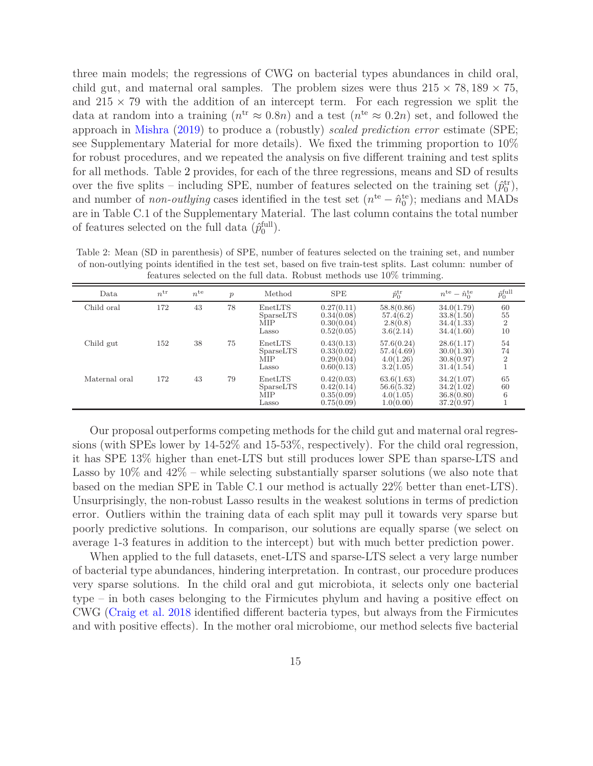three main models; the regressions of CWG on bacterial types abundances in child oral, child gut, and maternal oral samples. The problem sizes were thus  $215 \times 78,189 \times 75,$ and  $215 \times 79$  with the addition of an intercept term. For each regression we split the data at random into a training  $(n^{tr} \approx 0.8n)$  and a test  $(n^{te} \approx 0.2n)$  set, and followed the approach in [Mishra](#page-27-16) [\(2019\)](#page-27-16) to produce a (robustly) *scaled prediction error* estimate (SPE; see Supplementary Material for more details). We fixed the trimming proportion to 10% for robust procedures, and we repeated the analysis on five different training and test splits for all methods. Table [2](#page-14-0) provides, for each of the three regressions, means and SD of results over the five splits – including SPE, number of features selected on the training set  $(\hat{p}_0^{\text{tr}})$ , and number of *non-outlying* cases identified in the test set  $(n^{te} - \hat{n}_0^{te})$ ; medians and MADs are in Table C.1 of the Supplementary Material. The last column contains the total number of features selected on the full data  $(\hat{p}_0^{\text{full}})$ .

|               | reatures selected on the full data. Robust methods use 10% trimming. |                 |               |                                      |                                                      |                                                    |                                                      |                             |  |  |  |  |
|---------------|----------------------------------------------------------------------|-----------------|---------------|--------------------------------------|------------------------------------------------------|----------------------------------------------------|------------------------------------------------------|-----------------------------|--|--|--|--|
| Data          | $n^{\rm tr}$                                                         | $n^{\text{te}}$ | $\mathcal{p}$ | Method                               | <b>SPE</b>                                           | $\hat{p}_0^{\text{tr}}$                            | $n^{\text{te}} - \hat{n}_0^{\text{te}}$              | $\hat{p}^{\textrm{full}}_0$ |  |  |  |  |
| Child oral    | 172                                                                  | 43              | 78            | EnetLTS<br>SparseLTS<br>MIP<br>Lasso | 0.27(0.11)<br>0.34(0.08)<br>0.30(0.04)<br>0.52(0.05) | 58.8(0.86)<br>57.4(6.2)<br>2.8(0.8)<br>3.6(2.14)   | 34.0(1.79)<br>33.8(1.50)<br>34.4(1.33)<br>34.4(1.60) | 60<br>55<br>10              |  |  |  |  |
| Child gut     | 152                                                                  | 38              | 75            | EnetLTS<br>SparseLTS<br>MIP<br>Lasso | 0.43(0.13)<br>0.33(0.02)<br>0.29(0.04)<br>0.60(0.13) | 57.6(0.24)<br>57.4(4.69)<br>4.0(1.26)<br>3.2(1.05) | 28.6(1.17)<br>30.0(1.30)<br>30.8(0.97)<br>31.4(1.54) | 54<br>74                    |  |  |  |  |
| Maternal oral | 172                                                                  | 43              | 79            | EnetLTS<br>SparseLTS<br>MIP<br>Lasso | 0.42(0.03)<br>0.42(0.14)<br>0.35(0.09)<br>0.75(0.09) | 63.6(1.63)<br>56.6(5.32)<br>4.0(1.05)<br>1.0(0.00) | 34.2(1.07)<br>34.2(1.02)<br>36.8(0.80)<br>37.2(0.97) | 65<br>60                    |  |  |  |  |

<span id="page-14-0"></span>Table 2: Mean (SD in parenthesis) of SPE, number of features selected on the training set, and number of non-outlying points identified in the test set, based on five train-test splits. Last column: number of features selected on the full data. Robust methods use 10% trimming.

Our proposal outperforms competing methods for the child gut and maternal oral regressions (with SPEs lower by 14-52% and 15-53%, respectively). For the child oral regression, it has SPE 13% higher than enet-LTS but still produces lower SPE than sparse-LTS and Lasso by  $10\%$  and  $42\%$  – while selecting substantially sparser solutions (we also note that based on the median SPE in Table C.1 our method is actually 22% better than enet-LTS). Unsurprisingly, the non-robust Lasso results in the weakest solutions in terms of prediction error. Outliers within the training data of each split may pull it towards very sparse but poorly predictive solutions. In comparison, our solutions are equally sparse (we select on average 1-3 features in addition to the intercept) but with much better prediction power.

When applied to the full datasets, enet-LTS and sparse-LTS select a very large number of bacterial type abundances, hindering interpretation. In contrast, our procedure produces very sparse solutions. In the child oral and gut microbiota, it selects only one bacterial type – in both cases belonging to the Firmicutes phylum and having a positive effect on CWG [\(Craig et al. 2018](#page-25-14) identified different bacteria types, but always from the Firmicutes and with positive effects). In the mother oral microbiome, our method selects five bacterial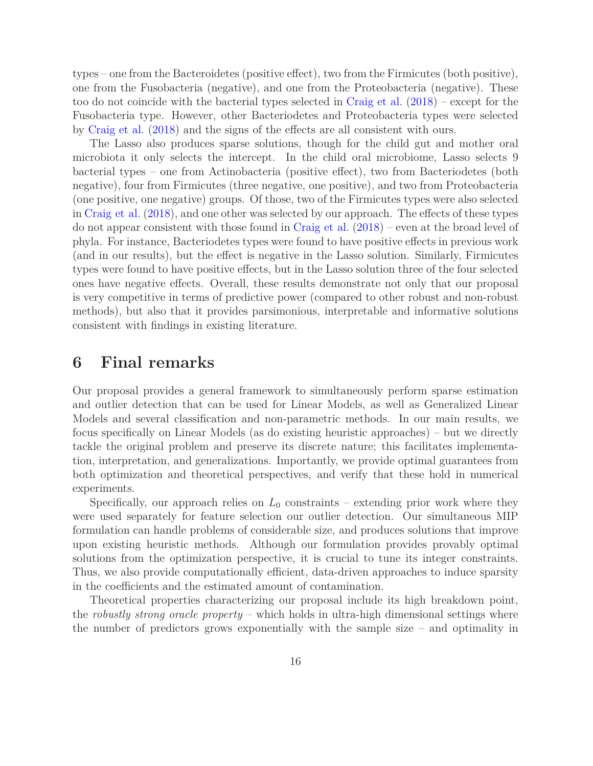types – one from the Bacteroidetes (positive effect), two from the Firmicutes (both positive), one from the Fusobacteria (negative), and one from the Proteobacteria (negative). These too do not coincide with the bacterial types selected in [Craig et al.](#page-25-14) [\(2018](#page-25-14)) – except for the Fusobacteria type. However, other Bacteriodetes and Proteobacteria types were selected by [Craig et al.](#page-25-14) [\(2018\)](#page-25-14) and the signs of the effects are all consistent with ours.

The Lasso also produces sparse solutions, though for the child gut and mother oral microbiota it only selects the intercept. In the child oral microbiome, Lasso selects 9 bacterial types – one from Actinobacteria (positive effect), two from Bacteriodetes (both negative), four from Firmicutes (three negative, one positive), and two from Proteobacteria (one positive, one negative) groups. Of those, two of the Firmicutes types were also selected in [Craig et al.](#page-25-14) [\(2018\)](#page-25-14), and one other was selected by our approach. The effects of these types do not appear consistent with those found in [Craig et al.](#page-25-14) [\(2018\)](#page-25-14) – even at the broad level of phyla. For instance, Bacteriodetes types were found to have positive effects in previous work (and in our results), but the effect is negative in the Lasso solution. Similarly, Firmicutes types were found to have positive effects, but in the Lasso solution three of the four selected ones have negative effects. Overall, these results demonstrate not only that our proposal is very competitive in terms of predictive power (compared to other robust and non-robust methods), but also that it provides parsimonious, interpretable and informative solutions consistent with findings in existing literature.

#### <span id="page-15-0"></span>**6 Final remarks**

Our proposal provides a general framework to simultaneously perform sparse estimation and outlier detection that can be used for Linear Models, as well as Generalized Linear Models and several classification and non-parametric methods. In our main results, we focus specifically on Linear Models (as do existing heuristic approaches) – but we directly tackle the original problem and preserve its discrete nature; this facilitates implementation, interpretation, and generalizations. Importantly, we provide optimal guarantees from both optimization and theoretical perspectives, and verify that these hold in numerical experiments.

Specifically, our approach relies on  $L_0$  constraints – extending prior work where they were used separately for feature selection our outlier detection. Our simultaneous MIP formulation can handle problems of considerable size, and produces solutions that improve upon existing heuristic methods. Although our formulation provides provably optimal solutions from the optimization perspective, it is crucial to tune its integer constraints. Thus, we also provide computationally efficient, data-driven approaches to induce sparsity in the coefficients and the estimated amount of contamination.

Theoretical properties characterizing our proposal include its high breakdown point, the *robustly strong oracle property* – which holds in ultra-high dimensional settings where the number of predictors grows exponentially with the sample size – and optimality in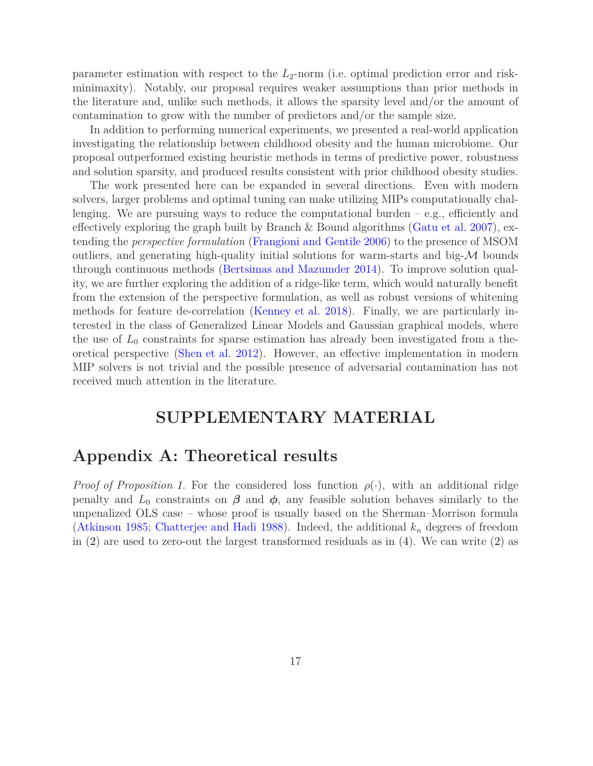parameter estimation with respect to the *L*2-norm (i.e. optimal prediction error and riskminimaxity). Notably, our proposal requires weaker assumptions than prior methods in the literature and, unlike such methods, it allows the sparsity level and/or the amount of contamination to grow with the number of predictors and/or the sample size.

In addition to performing numerical experiments, we presented a real-world application investigating the relationship between childhood obesity and the human microbiome. Our proposal outperformed existing heuristic methods in terms of predictive power, robustness and solution sparsity, and produced results consistent with prior childhood obesity studies.

The work presented here can be expanded in several directions. Even with modern solvers, larger problems and optimal tuning can make utilizing MIPs computationally challenging. We are pursuing ways to reduce the computational burden  $-e.g.,$  efficiently and effectively exploring the graph built by Branch & Bound algorithms [\(Gatu et al. 2007\)](#page-25-15), extending the *perspective formulation* [\(Frangioni and Gentile 2006](#page-25-16)) to the presence of MSOM outliers, and generating high-quality initial solutions for warm-starts and big- $\mathcal M$  bounds through continuous methods [\(Bertsimas and Mazumder 2014](#page-25-4)). To improve solution quality, we are further exploring the addition of a ridge-like term, which would naturally benefit from the extension of the perspective formulation, as well as robust versions of whitening methods for feature de-correlation [\(Kenney et al. 2018](#page-26-10)). Finally, we are particularly interested in the class of Generalized Linear Models and Gaussian graphical models, where the use of  $L_0$  constraints for sparse estimation has already been investigated from a theoretical perspective [\(Shen et al. 2012](#page-27-17)). However, an effective implementation in modern MIP solvers is not trivial and the possible presence of adversarial contamination has not received much attention in the literature.

#### **SUPPLEMENTARY MATERIAL**

#### **Appendix A: Theoretical results**

*Proof of Proposition [1.](#page-7-1)* For the considered loss function  $\rho(\cdot)$ , with an additional ridge penalty and  $L_0$  constraints on  $\beta$  and  $\phi$ , any feasible solution behaves similarly to the unpenalized OLS case – whose proof is usually based on the Sherman–Morrison formula [\(Atkinson 1985;](#page-24-1) [Chatterjee and Hadi 1988\)](#page-25-17). Indeed, the additional *k<sup>n</sup>* degrees of freedom in [\(2\)](#page-5-0) are used to zero-out the largest transformed residuals as in [\(4\)](#page-7-2). We can write [\(2\)](#page-5-0) as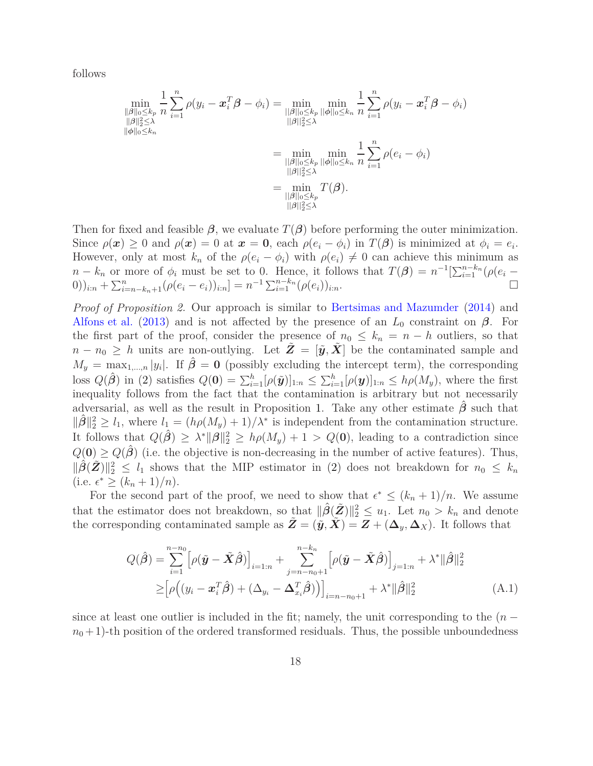follows

$$
\min_{\substack{\|\beta\|_{0} \leq k_{p} \\ \|\beta\|_{2} \leq \lambda}} \frac{1}{n} \sum_{i=1}^{n} \rho(y_{i} - \boldsymbol{x}_{i}^{T} \boldsymbol{\beta} - \phi_{i}) = \min_{\substack{\|\beta\|_{0} \leq k_{p} \\ \|\beta\|_{2} \leq \lambda}} \min_{\substack{\|\beta\|_{0} \leq k_{n} \\ \|\beta\|_{2} \leq \lambda}} \frac{1}{n} \sum_{i=1}^{n} \rho(y_{i} - \boldsymbol{x}_{i}^{T} \boldsymbol{\beta} - \phi_{i})
$$
\n
$$
= \min_{\substack{\|\beta\|_{0} \leq k_{p} \\ \|\beta\|_{2} \leq \lambda}} \min_{\substack{\beta \leq k_{p} \\ \|\beta\|_{2} \leq \lambda}} \frac{1}{n} \sum_{i=1}^{n} \rho(e_{i} - \phi_{i})
$$
\n
$$
= \min_{\substack{\|\beta\|_{2} \leq \lambda \\ \|\beta\|_{2} \leq \lambda}} T(\boldsymbol{\beta}).
$$

Then for fixed and feasible  $\beta$ , we evaluate  $T(\beta)$  before performing the outer minimization. Since  $\rho(\boldsymbol{x}) \geq 0$  and  $\rho(\boldsymbol{x}) = 0$  at  $\boldsymbol{x} = \boldsymbol{0}$ , each  $\rho(e_i - \phi_i)$  in  $T(\boldsymbol{\beta})$  is minimized at  $\phi_i = e_i$ . However, only at most  $k_n$  of the  $\rho(e_i - \phi_i)$  with  $\rho(e_i) \neq 0$  can achieve this minimum as *n* − *k<sub>n</sub>*</sub> or more of  $\phi_i$  must be set to 0. Hence, it follows that  $T(\beta) = n^{-1}[\sum_{i=1}^{n-k_n} (\rho(e_i -$ 0))<sub>i:n</sub> +  $\sum_{i=n-k_n+1}^{n} (\rho(e_i - e_i))_{i:n}$ ] =  $n^{-1} \sum_{i=1}^{n-k_n} (\rho(e_i))_{i:n}$ .

*Proof of Proposition [2.](#page-8-0)* Our approach is similar to [Bertsimas and Mazumder](#page-25-4) [\(2014](#page-25-4)) and [Alfons et al.](#page-24-0) [\(2013\)](#page-24-0) and is not affected by the presence of an  $L_0$  constraint on  $\beta$ . For the first part of the proof, consider the presence of  $n_0 \leq k_n = n - h$  outliers, so that  $n - n_0 \geq h$  units are non-outlying. Let  $\tilde{Z} = [\tilde{y}, \tilde{X}]$  be the contaminated sample and  $M_y = \max_{1,\dots,n} |y_i|$ . If  $\hat{\boldsymbol{\beta}} = \mathbf{0}$  (possibly excluding the intercept term), the corresponding loss  $Q(\hat{\boldsymbol{\beta}})$  in [\(2\)](#page-5-0) satisfies  $Q(\mathbf{0}) = \sum_{i=1}^{h} [\rho(\tilde{\boldsymbol{y}})]_{1:n} \leq \sum_{i=1}^{h} [\rho(\boldsymbol{y})]_{1:n} \leq h\rho(M_{\boldsymbol{y}})$ , where the first inequality follows from the fact that the contamination is arbitrary but not necessarily adversarial, as well as the result in Proposition [1.](#page-7-1) Take any other estimate  $\beta$  such that  $\|\hat{\beta}\|_2^2 \ge l_1$ , where  $l_1 = (h\rho(M_y) + 1)/\lambda^*$  is independent from the contamination structure. It follows that  $Q(\hat{\beta}) \geq \lambda^* ||\beta||_2^2 \geq h\rho(M_y) + 1 > Q(0)$ , leading to a contradiction since  $Q(\mathbf{0}) \geq Q(\hat{\boldsymbol{\beta}})$  (i.e. the objective is non-decreasing in the number of active features). Thus,  $\|\hat{\beta}(\tilde{Z})\|_2^2 \leq l_1$  shows that the MIP estimator in [\(2\)](#page-5-0) does not breakdown for  $n_0 \leq k_n$  $(i.e. \epsilon^* \geq (k_n+1)/n).$ 

For the second part of the proof, we need to show that  $\epsilon^* \leq (k_n + 1)/n$ . We assume that the estimator does not breakdown, so that  $\|\hat{\beta}(\tilde{Z})\|_2^2 \leq u_1$ . Let  $n_0 > k_n$  and denote the corresponding contaminated sample as  $\tilde{Z} = (\tilde{y}, \tilde{X}) = Z + (\Delta_y, \Delta_X)$ . It follows that

<span id="page-17-0"></span>
$$
Q(\hat{\beta}) = \sum_{i=1}^{n-n_0} \left[ \rho(\tilde{\mathbf{y}} - \tilde{\mathbf{X}} \hat{\beta}) \right]_{i=1:n} + \sum_{j=n-n_0+1}^{n-k_n} \left[ \rho(\tilde{\mathbf{y}} - \tilde{\mathbf{X}} \hat{\beta}) \right]_{j=1:n} + \lambda^* ||\hat{\beta}||_2^2
$$
  
\n
$$
\geq \left[ \rho((y_i - \mathbf{x}_i^T \hat{\beta}) + (\Delta_{y_i} - \Delta_{x_i}^T \hat{\beta})) \right]_{i=n-n_0+1} + \lambda^* ||\hat{\beta}||_2^2
$$
 (A.1)

since at least one outlier is included in the fit; namely, the unit corresponding to the  $(n$  $n_0 + 1$ )-th position of the ordered transformed residuals. Thus, the possible unboundedness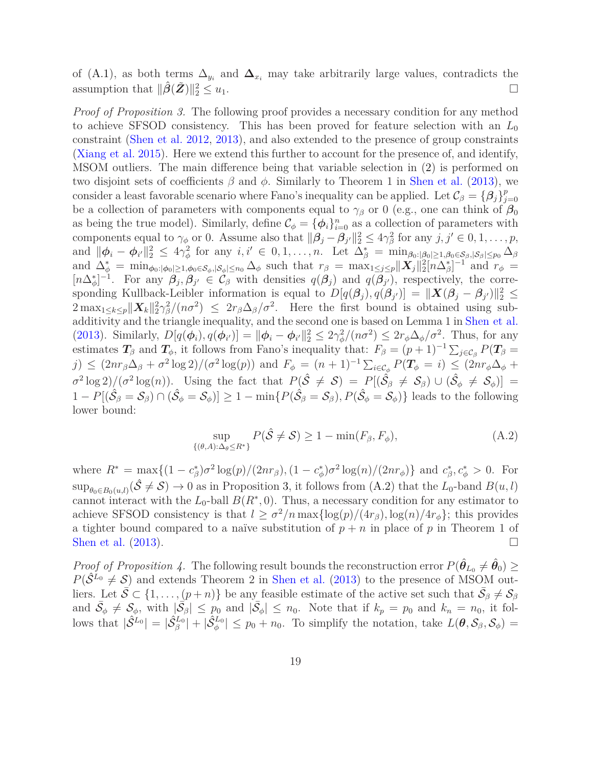of [\(A.1\)](#page-17-0), as both terms  $\Delta_{y_i}$  and  $\Delta_{x_i}$  may take arbitrarily large values, contradicts the assumption that  $\|\hat{\beta}(\tilde{Z})\|_2^2$  $2 \le u_1$ .

*Proof of Proposition [3.](#page-9-1)* The following proof provides a necessary condition for any method to achieve SFSOD consistency. This has been proved for feature selection with an *L*<sup>0</sup> constraint [\(Shen et al. 2012,](#page-27-17) [2013](#page-28-10)), and also extended to the presence of group constraints [\(Xiang et al. 2015\)](#page-28-15). Here we extend this further to account for the presence of, and identify, MSOM outliers. The main difference being that variable selection in [\(2\)](#page-5-0) is performed on two disjoint sets of coefficients *β* and *φ*. Similarly to Theorem 1 in [Shen et al.](#page-28-10) [\(2013](#page-28-10)), we consider a least favorable scenario where Fano's inequality can be applied. Let  $\mathcal{C}_{\beta} = {\beta_j}_{j}^p$ *j*=0 be a collection of parameters with components equal to  $\gamma_{\beta}$  or 0 (e.g., one can think of  $\beta_0$ ) as being the true model). Similarly, define  $\mathcal{C}_{\phi} = {\phi_i}_{i=0}^n$  as a collection of parameters with components equal to  $\gamma_{\phi}$  or 0. Assume also that  $\|\boldsymbol{\beta}_j - \boldsymbol{\beta}_{j'}\|_2^2 \leq 4\gamma_{\beta}^2$  for any  $j, j' \in 0, 1, \ldots, p$ , and  $\|\boldsymbol{\phi}_i - \boldsymbol{\phi}_{i'}\|_2^2 \leq 4\gamma_{\phi}^2$  for any  $i, i' \in 0, 1, \ldots, n$ . Let  $\Delta_{\beta}^* = \min_{\beta_0: |\beta_0| \geq 1, \beta_0 \in \mathcal{S}_{\beta}, |\mathcal{S}_{\beta}| \leq p_0} \Delta_{\beta}$ and  $\Delta_{\phi}^* = \min_{\phi_0: |\phi_0| \ge 1, \phi_0 \in \mathcal{S}_{\phi}, |\mathcal{S}_{\phi}| \le n_0} \Delta_{\phi}$  such that  $r_{\beta} = \max_{1 \le j \le p} ||\boldsymbol{X}_j||_2^2 [n \Delta_{\beta}^*]^{-1}$  and  $r_{\phi} =$  $[n\Delta_{\phi}^*]^{-1}$ . For any  $\beta_j$ ,  $\beta_{j'} \in C_\beta$  with densities  $q(\beta_j)$  and  $q(\beta_{j'})$ , respectively, the corresponding Kullback-Leibler information is equal to  $D[q(\beta_j), q(\beta_{j'})] = ||\boldsymbol{X}(\beta_j - \beta_{j'})||_2^2 \leq$  $2 \max_{1 \leq k \leq p} ||X_k||_2^2 \gamma_{\beta}^2 / (n\sigma^2) \leq 2r_{\beta} \Delta_{\beta} / \sigma^2$ . Here the first bound is obtained using subadditivity and the triangle inequality, and the second one is based on Lemma 1 in [Shen et al.](#page-28-10) [\(2013\)](#page-28-10). Similarly,  $D[q(\phi_i), q(\phi_{i'})] = ||\phi_i - \phi_{i'}||_2^2 \leq 2\gamma_{\phi}^2/(n\sigma^2) \leq 2r_{\phi}\Delta_{\phi}/\sigma^2$ . Thus, for any estimates  $T_\beta$  and  $T_\phi$ , it follows from Fano's inequality that:  $F_\beta = (p+1)^{-1} \sum_{j \in C_\beta} P(T_\beta =$  $j) \leq (2nr_{\beta}\Delta_{\beta} + \sigma^2 \log 2)/(\sigma^2 \log(p))$  and  $F_{\phi} = (n+1)^{-1} \sum_{i \in C_{\phi}} P(T_{\phi} = i) \leq (2nr_{\phi}\Delta_{\phi} + i)$  $\sigma^2 \log 2$ )/ $(\sigma^2 \log(n))$ . Using the fact that  $P(\hat{\mathcal{S}} \neq \mathcal{S}) = P[(\hat{\mathcal{S}}_{\beta} \neq \mathcal{S}_{\beta}) \cup (\hat{\mathcal{S}}_{\phi} \neq \mathcal{S}_{\phi})] =$  $1 - P[(\hat{S}_{\beta} = S_{\beta}) \cap (\hat{S}_{\phi} = S_{\phi})] \ge 1 - \min\{P(\hat{S}_{\beta} = S_{\beta}), P(\hat{S}_{\phi} = S_{\phi})\}\)$  leads to the following lower bound:

<span id="page-18-0"></span>
$$
\sup_{\{(\theta,A): \Delta_{\theta} \le R^*\}} P(\hat{\mathcal{S}} \ne \mathcal{S}) \ge 1 - \min(F_{\beta}, F_{\phi}),
$$
\n(A.2)

where  $R^* = \max\{(1 - c^*_{\beta})\sigma^2 \log(p)/(2nr_{\beta}), (1 - c^*_{\phi})\sigma^2 \log(n)/(2nr_{\phi})\}\$ and  $c^*_{\beta}, c^*_{\phi} > 0$ . For  $\sup_{\theta_0 \in B_0(u,l)} (\hat{S} \neq S) \to 0$  as in Proposition [3,](#page-9-1) it follows from  $(A.2)$  that the *L*<sub>0</sub>-band  $B(u, l)$ cannot interact with the  $L_0$ -ball  $B(R^*, 0)$ . Thus, a necessary condition for any estimator to achieve SFSOD consistency is that  $l \geq \sigma^2/n \max\{\log(p)/(4r_\beta), \log(n)/4r_\phi\}$ ; this provides a tighter bound compared to a naïve substitution of  $p + n$  in place of p in Theorem 1 of [Shen et al.](#page-28-10)  $(2013)$ .

*Proof of Proposition [4.](#page-10-1)* The following result bounds the reconstruction error  $P(\hat{\theta}_{L_0} \neq \hat{\theta}_0) \geq$  $P(\hat{S}^{L_0} \neq S)$  and extends Theorem 2 in [Shen et al.](#page-28-10) [\(2013](#page-28-10)) to the presence of MSOM outliers. Let  $\overline{S} \subset \{1, \ldots, (p+n)\}$  be any feasible estimate of the active set such that  $\overline{S}_{\beta} \neq S_{\beta}$ and  $\bar{S}_{\phi} \neq \bar{S}_{\phi}$ , with  $|\bar{S}_{\phi}| \leq p_0$  and  $|\bar{S}_{\phi}| \leq n_0$ . Note that if  $k_p = p_0$  and  $k_n = n_0$ , it follows that  $|\hat{S}^{L_0}| = |\hat{S}^{L_0}_{\beta}| + |\hat{S}^{L_0}_{\phi}| \leq p_0 + n_0$ . To simplify the notation, take  $L(\theta, \mathcal{S}_{\beta}, \mathcal{S}_{\phi}) =$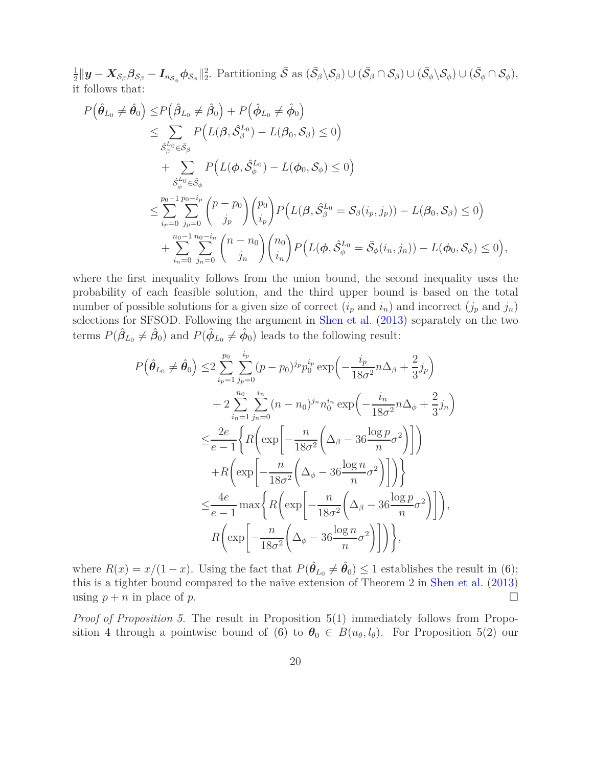1  $\frac{1}{2}||\bm{y}-\bm{X}_{\mathcal{S}_{\beta}}\bm{\beta}_{\mathcal{S}_{\beta}}-\bm{I}_{n_{\mathcal{S}_{\phi}}}\bm{\phi}_{\mathcal{S}_{\phi}}||_{2}^{2}.$  Partitioning  $\bar{\mathcal{S}}$  as  $(\bar{\mathcal{S}}_{\beta}\backslash\mathcal{S}_{\beta})\cup(\bar{\mathcal{S}}_{\beta}\cap\mathcal{S}_{\beta})\cup(\bar{\mathcal{S}}_{\phi}\backslash\mathcal{S}_{\phi})\cup(\bar{\mathcal{S}}_{\phi}\cap\mathcal{S}_{\phi}),$ it follows that:

$$
P(\hat{\theta}_{L_0} \neq \hat{\theta}_0) \le P(\hat{\beta}_{L_0} \neq \hat{\beta}_0) + P(\hat{\phi}_{L_0} \neq \hat{\phi}_0)
$$
  
\n
$$
\le \sum_{\substack{\hat{S}_{\beta}^{L_0} \in \bar{S}_{\beta}}} P(L(\beta, \hat{S}_{\beta}^{L_0}) - L(\beta_0, S_{\beta}) \le 0)
$$
  
\n
$$
+ \sum_{\substack{\hat{S}_{\phi}^{L_0} \in \bar{S}_{\phi}}} P(L(\phi, \hat{S}_{\phi}^{L_0}) - L(\phi_0, S_{\phi}) \le 0)
$$
  
\n
$$
\le \sum_{i_p=0}^{p_0-1} \sum_{j_p=0}^{p_0-i_p} {p-p_0 \choose j_p} {p_0 \choose i_p} P(L(\beta, \hat{S}_{\beta}^{L_0} = \bar{S}_{\beta}(i_p, j_p)) - L(\beta_0, S_{\beta}) \le 0)
$$
  
\n
$$
+ \sum_{i_n=0}^{n_0-1} \sum_{j_n=0}^{n_0-i_n} {n-n_0 \choose j_n} {n_0 \choose i_n} P(L(\phi, \hat{S}_{\phi}^{L_0} = \bar{S}_{\phi}(i_n, j_n)) - L(\phi_0, S_{\phi}) \le 0),
$$

where the first inequality follows from the union bound, the second inequality uses the probability of each feasible solution, and the third upper bound is based on the total number of possible solutions for a given size of correct  $(i_p \text{ and } i_n)$  and incorrect  $(j_p \text{ and } j_n)$ selections for SFSOD. Following the argument in [Shen et al.](#page-28-10) [\(2013\)](#page-28-10) separately on the two terms  $P(\hat{\beta}_{L_0} \neq \hat{\beta}_0)$  and  $P(\hat{\phi}_{L_0} \neq \hat{\phi}_0)$  leads to the following result:

$$
P(\hat{\theta}_{L_0} \neq \hat{\theta}_0) \leq 2 \sum_{i_p=1}^{p_0} \sum_{j_p=0}^{i_p} (p-p_0)^{j_p} p_0^{i_p} \exp\left(-\frac{i_p}{18\sigma^2} n \Delta_\beta + \frac{2}{3} j_p\right)
$$
  
+ 
$$
2 \sum_{i_n=1}^{n_0} \sum_{j_n=0}^{i_n} (n-n_0)^{j_n} n_0^{i_n} \exp\left(-\frac{i_n}{18\sigma^2} n \Delta_\phi + \frac{2}{3} j_n\right)
$$
  

$$
\leq \frac{2e}{e-1} \Biggl\{ R\Biggl(\exp\Biggl[-\frac{n}{18\sigma^2} \Biggl(\Delta_\beta - 36 \frac{\log p}{n} \sigma^2\Biggr)\Biggr]\Biggr)
$$
  
+ 
$$
R\Biggl(\exp\Biggl[-\frac{n}{18\sigma^2} \Biggl(\Delta_\phi - 36 \frac{\log n}{n} \sigma^2\Biggr)\Biggr]\Biggr)\Biggr\}
$$
  

$$
\leq \frac{4e}{e-1} \max \Biggl\{ R\Biggl(\exp\Biggl[-\frac{n}{18\sigma^2} \Biggl(\Delta_\beta - 36 \frac{\log p}{n} \sigma^2\Biggr)\Biggr]\Biggr),
$$
  

$$
R\Biggl(\exp\Biggl[-\frac{n}{18\sigma^2} \Biggl(\Delta_\phi - 36 \frac{\log n}{n} \sigma^2\Biggr)\Biggr]\Biggr),
$$

where  $R(x) = x/(1-x)$ . Using the fact that  $P(\hat{\theta}_{L_0} \neq \hat{\theta}_0) \leq 1$  establishes the result in [\(6\)](#page-10-2); this is a tighter bound compared to the naïve extension of Theorem 2 in [Shen et al.](#page-28-10) [\(2013\)](#page-28-10) using  $p + n$  in place of  $p$ .

*Proof of Proposition [5.](#page-10-0)* The result in Proposition [5\(](#page-10-0)1) immediately follows from Propo-sition [4](#page-10-1) through a pointwise bound of [\(6\)](#page-10-2) to  $\theta_0 \in B(u_{\theta}, l_{\theta})$ . For Proposition [5\(](#page-10-0)2) our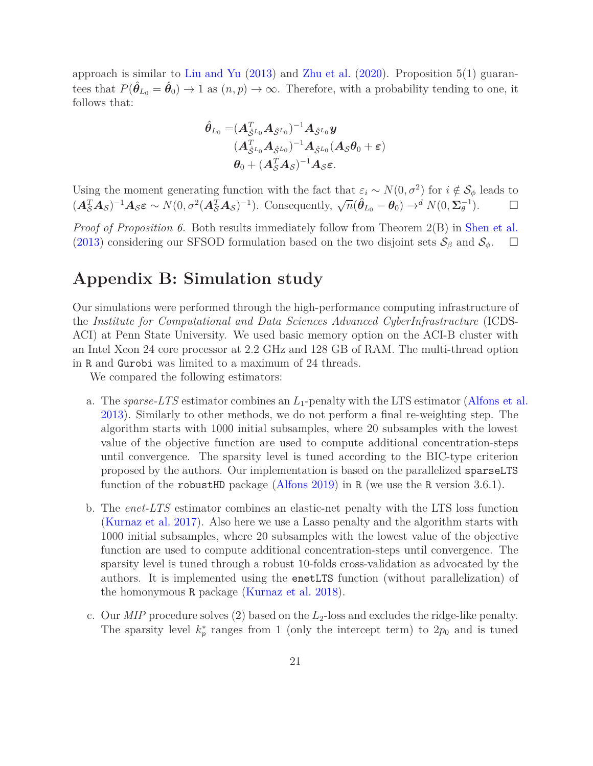approach is similar to [Liu and Yu](#page-26-18) [\(2013\)](#page-26-18) and [Zhu et al.](#page-28-16) [\(2020\)](#page-28-16). Proposition [5\(](#page-10-0)1) guarantees that  $P(\hat{\theta}_{L_0} = \hat{\theta}_0) \to 1$  as  $(n, p) \to \infty$ . Therefore, with a probability tending to one, it follows that:

$$
\begin{aligned} \hat{\bm{\theta}}_{L_0}=&(\bm{A}_{\hat{\mathcal{S}}^{L_0}}^T\bm{A}_{\hat{\mathcal{S}}^{L_0}})^{-1}\bm{A}_{\hat{\mathcal{S}}^{L_0}}\bm{y}\\&(\bm{A}_{\hat{\mathcal{S}}^{L_0}}^T\bm{A}_{\hat{\mathcal{S}}^{L_0}})^{-1}\bm{A}_{\hat{\mathcal{S}}^{L_0}}(\bm{A}_{\mathcal{S}}\bm{\theta}_0+\bm{\varepsilon})\\&\bm{\theta}_0+(\bm{A}_{\mathcal{S}}^T\bm{A}_{\mathcal{S}})^{-1}\bm{A}_{\mathcal{S}}\bm{\varepsilon}.\end{aligned}
$$

Using the moment generating function with the fact that  $\varepsilon_i \sim N(0, \sigma^2)$  for  $i \notin S_\phi$  leads to  $(A_S^T \mathbf{A}_S)^{-1} \mathbf{A}_S \varepsilon \sim N(0, \sigma^2(A_S^T \mathbf{A}_S)^{-1})$ . Consequently,  $\sqrt{n}(\hat{\theta}_{L_0} - \theta_0) \to^d N(0, \Sigma_{\theta}^{-1})$ .

*Proof of Proposition [6.](#page-10-3)* Both results immediately follow from Theorem 2(B) in [Shen et al.](#page-28-10) [\(2013\)](#page-28-10) considering our SFSOD formulation based on the two disjoint sets  $\mathcal{S}_{\beta}$  and  $\mathcal{S}_{\phi}$ .  $\square$ 

#### **Appendix B: Simulation study**

Our simulations were performed through the high-performance computing infrastructure of the *Institute for Computational and Data Sciences Advanced CyberInfrastructure* (ICDS-ACI) at Penn State University. We used basic memory option on the ACI-B cluster with an Intel Xeon 24 core processor at 2.2 GHz and 128 GB of RAM. The multi-thread option in R and Gurobi was limited to a maximum of 24 threads.

We compared the following estimators:

- a. The *sparse-LTS* estimator combines an *L*1-penalty with the LTS estimator [\(Alfons et al.](#page-24-0) [2013\)](#page-24-0). Similarly to other methods, we do not perform a final re-weighting step. The algorithm starts with 1000 initial subsamples, where 20 subsamples with the lowest value of the objective function are used to compute additional concentration-steps until convergence. The sparsity level is tuned according to the BIC-type criterion proposed by the authors. Our implementation is based on the parallelized sparseLTS function of the robustHD package [\(Alfons 2019](#page-24-5)) in R (we use the R version 3.6.1).
- b. The *enet-LTS* estimator combines an elastic-net penalty with the LTS loss function [\(Kurnaz et al. 2017](#page-26-8)). Also here we use a Lasso penalty and the algorithm starts with 1000 initial subsamples, where 20 subsamples with the lowest value of the objective function are used to compute additional concentration-steps until convergence. The sparsity level is tuned through a robust 10-folds cross-validation as advocated by the authors. It is implemented using the enetLTS function (without parallelization) of the homonymous R package [\(Kurnaz et al. 2018\)](#page-26-19).
- c. Our *MIP* procedure solves [\(2\)](#page-5-0) based on the *L*2-loss and excludes the ridge-like penalty. The sparsity level  $k_p^*$  ranges from 1 (only the intercept term) to  $2p_0$  and is tuned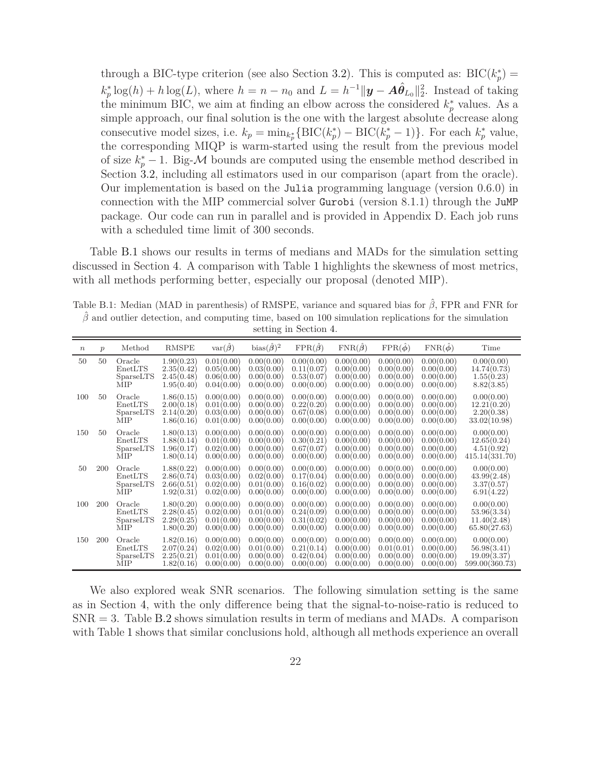through a BIC-type criterion (see also Section [3.2\)](#page-6-0). This is computed as:  $BIC(k_p^*)$  $k_p^* \log(h) + h \log(L)$ , where  $h = n - n_0$  and  $L = h^{-1} ||\mathbf{y} - \mathbf{A}\hat{\theta}_{L_0}||_2^2$ . Instead of taking the minimum BIC, we aim at finding an elbow across the considered  $k_p^*$  values. As a simple approach, our final solution is the one with the largest absolute decrease along consecutive model sizes, i.e.  $k_p = \min_{k_p^*} {\text{BIC}(k_p^*) - \text{BIC}(k_p^* - 1)}$ . For each  $k_p^*$  value, the corresponding MIQP is warm-started using the result from the previous model of size  $k_p^* - 1$ . Big- $\mathcal M$  bounds are computed using the ensemble method described in Section [3.2,](#page-6-0) including all estimators used in our comparison (apart from the oracle). Our implementation is based on the Julia programming language (version 0.6.0) in connection with the MIP commercial solver Gurobi (version 8.1.1) through the JuMP package. Our code can run in parallel and is provided in Appendix D. Each job runs with a scheduled time limit of 300 seconds.

Table [B.1](#page-21-0) shows our results in terms of medians and MADs for the simulation setting discussed in Section [4.](#page-11-0) A comparison with Table [1](#page-13-0) highlights the skewness of most metrics, with all methods performing better, especially our proposal (denoted MIP).

<span id="page-21-0"></span>Table B.1: Median (MAD in parenthesis) of RMSPE, variance and squared bias for *β*ˆ, FPR and FNR for  $\hat{\beta}$  and outlier detection, and computing time, based on 100 simulation replications for the simulation setting in Section [4.](#page-11-0)

| $\boldsymbol{n}$ | $\mathcal{p}$ | Method                                | <b>RMSPE</b>                                         | $var(\hat{\beta})$                                   | bias $(\hat{\beta})^2$                               | $\text{FPR}(\hat{\beta})$                            | $\text{FNR}(\hat{\beta})$                            | $\text{FPR}(\hat{\phi})$                             | $\text{FNR}(\hat{\phi})$                             | Time                                                       |
|------------------|---------------|---------------------------------------|------------------------------------------------------|------------------------------------------------------|------------------------------------------------------|------------------------------------------------------|------------------------------------------------------|------------------------------------------------------|------------------------------------------------------|------------------------------------------------------------|
| 50               | 50            | Oracle<br>EnetLTS<br>SparseLTS<br>MIP | 1.90(0.23)<br>2.35(0.42)<br>2.45(0.48)<br>1.95(0.40) | 0.01(0.00)<br>0.05(0.00)<br>0.06(0.00)<br>0.04(0.00) | 0.00(0.00)<br>0.03(0.00)<br>0.00(0.00)<br>0.00(0.00) | 0.00(0.00)<br>0.11(0.07)<br>0.53(0.07)<br>0.00(0.00) | 0.00(0.00)<br>0.00(0.00)<br>0.00(0.00)<br>0.00(0.00) | 0.00(0.00)<br>0.00(0.00)<br>0.00(0.00)<br>0.00(0.00) | 0.00(0.00)<br>0.00(0.00)<br>0.00(0.00)<br>0.00(0.00) | 0.00(0.00)<br>14.74(0.73)<br>1.55(0.23)<br>8.82(3.85)      |
| 100              | 50            | Oracle<br>EnetLTS<br>SparseLTS<br>MIP | 1.86(0.15)<br>2.00(0.18)<br>2.14(0.20)<br>1.86(0.16) | 0.00(0.00)<br>0.01(0.00)<br>0.03(0.00)<br>0.01(0.00) | 0.00(0.00)<br>0.00(0.00)<br>0.00(0.00)<br>0.00(0.00) | 0.00(0.00)<br>0.22(0.20)<br>0.67(0.08)<br>0.00(0.00) | 0.00(0.00)<br>0.00(0.00)<br>0.00(0.00)<br>0.00(0.00) | 0.00(0.00)<br>0.00(0.00)<br>0.00(0.00)<br>0.00(0.00) | 0.00(0.00)<br>0.00(0.00)<br>0.00(0.00)<br>0.00(0.00) | 0.00(0.00)<br>12.21(0.20)<br>2.20(0.38)<br>33.02(10.98)    |
| 150              | 50            | Oracle<br>EnetLTS<br>SparseLTS<br>MIP | 1.80(0.13)<br>1.88(0.14)<br>1.96(0.17)<br>1.80(0.14) | 0.00(0.00)<br>0.01(0.00)<br>0.02(0.00)<br>0.00(0.00) | 0.00(0.00)<br>0.00(0.00)<br>0.00(0.00)<br>0.00(0.00) | 0.00(0.00)<br>0.30(0.21)<br>0.67(0.07)<br>0.00(0.00) | 0.00(0.00)<br>0.00(0.00)<br>0.00(0.00)<br>0.00(0.00) | 0.00(0.00)<br>0.00(0.00)<br>0.00(0.00)<br>0.00(0.00) | 0.00(0.00)<br>0.00(0.00)<br>0.00(0.00)<br>0.00(0.00) | 0.00(0.00)<br>12.65(0.24)<br>4.51(0.92)<br>415.14(331.70)  |
| 50               | 200           | Oracle<br>EnetLTS<br>SparseLTS<br>MIP | 1.88(0.22)<br>2.86(0.74)<br>2.66(0.51)<br>1.92(0.31) | 0.00(0.00)<br>0.03(0.00)<br>0.02(0.00)<br>0.02(0.00) | 0.00(0.00)<br>0.02(0.00)<br>0.01(0.00)<br>0.00(0.00) | 0.00(0.00)<br>0.17(0.04)<br>0.16(0.02)<br>0.00(0.00) | 0.00(0.00)<br>0.00(0.00)<br>0.00(0.00)<br>0.00(0.00) | 0.00(0.00)<br>0.00(0.00)<br>0.00(0.00)<br>0.00(0.00) | 0.00(0.00)<br>0.00(0.00)<br>0.00(0.00)<br>0.00(0.00) | 0.00(0.00)<br>43.99(2.48)<br>3.37(0.57)<br>6.91(4.22)      |
| 100              | 200           | Oracle<br>EnetLTS<br>SparseLTS<br>MIP | 1.80(0.20)<br>2.28(0.45)<br>2.29(0.25)<br>1.80(0.20) | 0.00(0.00)<br>0.02(0.00)<br>0.01(0.00)<br>0.00(0.00) | 0.00(0.00)<br>0.01(0.00)<br>0.00(0.00)<br>0.00(0.00) | 0.00(0.00)<br>0.24(0.09)<br>0.31(0.02)<br>0.00(0.00) | 0.00(0.00)<br>0.00(0.00)<br>0.00(0.00)<br>0.00(0.00) | 0.00(0.00)<br>0.00(0.00)<br>0.00(0.00)<br>0.00(0.00) | 0.00(0.00)<br>0.00(0.00)<br>0.00(0.00)<br>0.00(0.00) | 0.00(0.00)<br>53.96(3.34)<br>11.40(2.48)<br>65.80(27.63)   |
| 150              | 200           | Oracle<br>EnetLTS<br>SparseLTS<br>MIP | 1.82(0.16)<br>2.07(0.24)<br>2.25(0.21)<br>1.82(0.16) | 0.00(0.00)<br>0.02(0.00)<br>0.01(0.00)<br>0.00(0.00) | 0.00(0.00)<br>0.01(0.00)<br>0.00(0.00)<br>0.00(0.00) | 0.00(0.00)<br>0.21(0.14)<br>0.42(0.04)<br>0.00(0.00) | 0.00(0.00)<br>0.00(0.00)<br>0.00(0.00)<br>0.00(0.00) | 0.00(0.00)<br>0.01(0.01)<br>0.00(0.00)<br>0.00(0.00) | 0.00(0.00)<br>0.00(0.00)<br>0.00(0.00)<br>0.00(0.00) | 0.00(0.00)<br>56.98(3.41)<br>19.09(3.37)<br>599.00(360.73) |

We also explored weak SNR scenarios. The following simulation setting is the same as in Section [4,](#page-11-0) with the only difference being that the signal-to-noise-ratio is reduced to  $SNR = 3$ . Table [B.2](#page-22-0) shows simulation results in term of medians and MADs. A comparison with Table [1](#page-13-0) shows that similar conclusions hold, although all methods experience an overall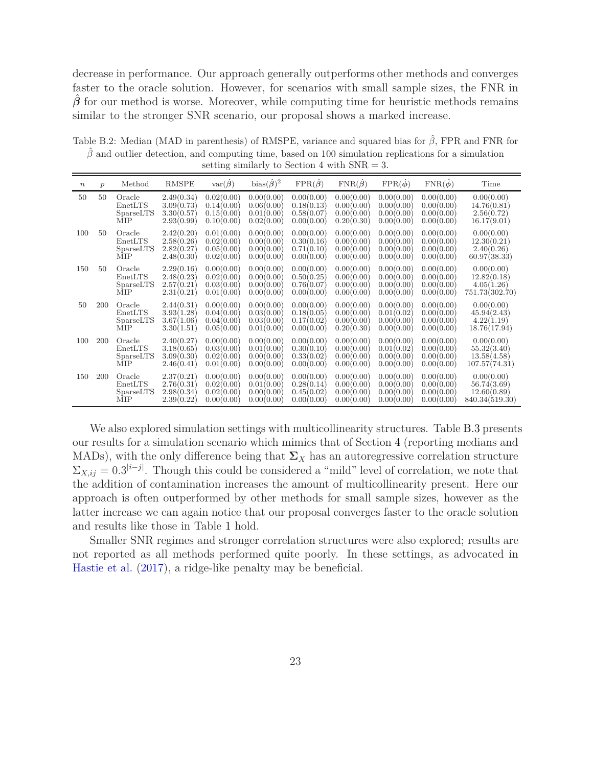decrease in performance. Our approach generally outperforms other methods and converges faster to the oracle solution. However, for scenarios with small sample sizes, the FNR in *β*ˆ for our method is worse. Moreover, while computing time for heuristic methods remains similar to the stronger SNR scenario, our proposal shows a marked increase.

<span id="page-22-0"></span>Table B.2: Median (MAD in parenthesis) of RMSPE, variance and squared bias for *β*ˆ, FPR and FNR for  $\hat{\beta}$  and outlier detection, and computing time, based on 100 simulation replications for a simulation setting similarly to Section [4](#page-11-0) with SNR = 3.

| $\boldsymbol{n}$ | $\mathcal{p}$ | Method                                       | <b>RMSPE</b>                                         | $var(\hat{\beta})$                                   | bias $(\hat{\beta})^2$                               | $\text{FPR}(\hat{\beta})$                            | $\text{FNR}(\hat{\beta})$                            | $FPR(\ddot{\phi})$                                   | $FNR(\phi)$                                          | Time                                                       |
|------------------|---------------|----------------------------------------------|------------------------------------------------------|------------------------------------------------------|------------------------------------------------------|------------------------------------------------------|------------------------------------------------------|------------------------------------------------------|------------------------------------------------------|------------------------------------------------------------|
| 50               | 50            | Oracle<br>EnetLTS<br>SparseLTS<br>MIP        | 2.49(0.34)<br>3.09(0.73)<br>3.30(0.57)<br>2.93(0.99) | 0.02(0.00)<br>0.14(0.00)<br>0.15(0.00)<br>0.10(0.00) | 0.00(0.00)<br>0.06(0.00)<br>0.01(0.00)<br>0.02(0.00) | 0.00(0.00)<br>0.18(0.13)<br>0.58(0.07)<br>0.00(0.00) | 0.00(0.00)<br>0.00(0.00)<br>0.00(0.00)<br>0.20(0.30) | 0.00(0.00)<br>0.00(0.00)<br>0.00(0.00)<br>0.00(0.00) | 0.00(0.00)<br>0.00(0.00)<br>0.00(0.00)<br>0.00(0.00) | 0.00(0.00)<br>14.76(0.81)<br>2.56(0.72)<br>16.17(9.01)     |
| 100              | 50            | Oracle<br>EnetLTS<br>SparseLTS<br>MIP        | 2.42(0.20)<br>2.58(0.26)<br>2.82(0.27)<br>2.48(0.30) | 0.01(0.00)<br>0.02(0.00)<br>0.05(0.00)<br>0.02(0.00) | 0.00(0.00)<br>0.00(0.00)<br>0.00(0.00)<br>0.00(0.00) | 0.00(0.00)<br>0.30(0.16)<br>0.71(0.10)<br>0.00(0.00) | 0.00(0.00)<br>0.00(0.00)<br>0.00(0.00)<br>0.00(0.00) | 0.00(0.00)<br>0.00(0.00)<br>0.00(0.00)<br>0.00(0.00) | 0.00(0.00)<br>0.00(0.00)<br>0.00(0.00)<br>0.00(0.00) | 0.00(0.00)<br>12.30(0.21)<br>2.40(0.26)<br>60.97(38.33)    |
| 150              | 50            | Oracle<br>EnetLTS<br>SparseLTS<br>MIP        | 2.29(0.16)<br>2.48(0.23)<br>2.57(0.21)<br>2.31(0.21) | 0.00(0.00)<br>0.02(0.00)<br>0.03(0.00)<br>0.01(0.00) | 0.00(0.00)<br>0.00(0.00)<br>0.00(0.00)<br>0.00(0.00) | 0.00(0.00)<br>0.50(0.25)<br>0.76(0.07)<br>0.00(0.00) | 0.00(0.00)<br>0.00(0.00)<br>0.00(0.00)<br>0.00(0.00) | 0.00(0.00)<br>0.00(0.00)<br>0.00(0.00)<br>0.00(0.00) | 0.00(0.00)<br>0.00(0.00)<br>0.00(0.00)<br>0.00(0.00) | 0.00(0.00)<br>12.82(0.18)<br>4.05(1.26)<br>751.73(302.70)  |
| 50               | 200           | Oracle<br>EnetLTS<br>SparseLTS<br><b>MIP</b> | 2.44(0.31)<br>3.93(1.28)<br>3.67(1.06)<br>3.30(1.51) | 0.00(0.00)<br>0.04(0.00)<br>0.04(0.00)<br>0.05(0.00) | 0.00(0.00)<br>0.03(0.00)<br>0.03(0.00)<br>0.01(0.00) | 0.00(0.00)<br>0.18(0.05)<br>0.17(0.02)<br>0.00(0.00) | 0.00(0.00)<br>0.00(0.00)<br>0.00(0.00)<br>0.20(0.30) | 0.00(0.00)<br>0.01(0.02)<br>0.00(0.00)<br>0.00(0.00) | 0.00(0.00)<br>0.00(0.00)<br>0.00(0.00)<br>0.00(0.00) | 0.00(0.00)<br>45.94(2.43)<br>4.22(1.19)<br>18.76(17.94)    |
| 100              | 200           | Oracle<br>EnetLTS<br>SparseLTS<br>MIP        | 2.40(0.27)<br>3.18(0.65)<br>3.09(0.30)<br>2.46(0.41) | 0.00(0.00)<br>0.03(0.00)<br>0.02(0.00)<br>0.01(0.00) | 0.00(0.00)<br>0.01(0.00)<br>0.00(0.00)<br>0.00(0.00) | 0.00(0.00)<br>0.30(0.10)<br>0.33(0.02)<br>0.00(0.00) | 0.00(0.00)<br>0.00(0.00)<br>0.00(0.00)<br>0.00(0.00) | 0.00(0.00)<br>0.01(0.02)<br>0.00(0.00)<br>0.00(0.00) | 0.00(0.00)<br>0.00(0.00)<br>0.00(0.00)<br>0.00(0.00) | 0.00(0.00)<br>55.32(3.40)<br>13.58(4.58)<br>107.57(74.31)  |
| 150              | 200           | Oracle<br>EnetLTS<br>SparseLTS<br>MIP        | 2.37(0.21)<br>2.76(0.31)<br>2.98(0.34)<br>2.39(0.22) | 0.00(0.00)<br>0.02(0.00)<br>0.02(0.00)<br>0.00(0.00) | 0.00(0.00)<br>0.01(0.00)<br>0.00(0.00)<br>0.00(0.00) | 0.00(0.00)<br>0.28(0.14)<br>0.45(0.02)<br>0.00(0.00) | 0.00(0.00)<br>0.00(0.00)<br>0.00(0.00)<br>0.00(0.00) | 0.00(0.00)<br>0.00(0.00)<br>0.00(0.00)<br>0.00(0.00) | 0.00(0.00)<br>0.00(0.00)<br>0.00(0.00)<br>0.00(0.00) | 0.00(0.00)<br>56.74(3.69)<br>12.60(0.89)<br>840.34(519.30) |

We also explored simulation settings with multicollinearity structures. Table [B.3](#page-23-0) presents our results for a simulation scenario which mimics that of Section [4](#page-11-0) (reporting medians and MADs), with the only difference being that  $\Sigma_X$  has an autoregressive correlation structure  $\Sigma_{X,ij} = 0.3^{|i-j|}$ . Though this could be considered a "mild" level of correlation, we note that the addition of contamination increases the amount of multicollinearity present. Here our approach is often outperformed by other methods for small sample sizes, however as the latter increase we can again notice that our proposal converges faster to the oracle solution and results like those in Table [1](#page-13-0) hold.

Smaller SNR regimes and stronger correlation structures were also explored; results are not reported as all methods performed quite poorly. In these settings, as advocated in [Hastie et al.](#page-26-12) [\(2017\)](#page-26-12), a ridge-like penalty may be beneficial.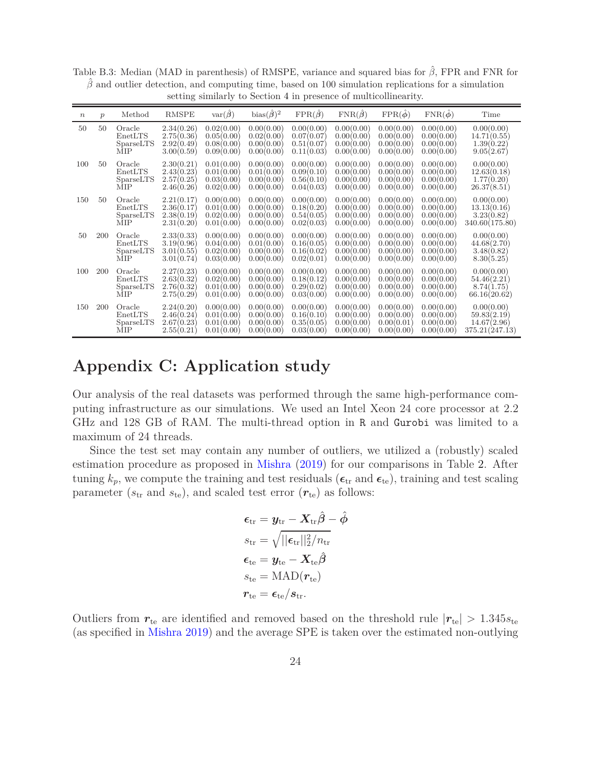|                  |               |                                       |                                                      |                                                      |                                                      |                                                      | to because the problem of indicidentially            |                                                      |                                                      |                                                            |
|------------------|---------------|---------------------------------------|------------------------------------------------------|------------------------------------------------------|------------------------------------------------------|------------------------------------------------------|------------------------------------------------------|------------------------------------------------------|------------------------------------------------------|------------------------------------------------------------|
| $\boldsymbol{n}$ | $\mathcal{p}$ | Method                                | <b>RMSPE</b>                                         | $var(\hat{\beta})$                                   | bias $(\hat{\beta})^2$                               | $\text{FPR}(\hat{\beta})$                            | $\text{FNR}(\hat{\boldsymbol{\beta}})$               | $\text{FPR}(\hat{\phi})$                             | $\text{FNR}(\hat{\phi})$                             | Time                                                       |
| 50               | 50            | Oracle<br>EnetLTS<br>SparseLTS<br>MIP | 2.34(0.26)<br>2.75(0.36)<br>2.92(0.49)<br>3.00(0.59) | 0.02(0.00)<br>0.05(0.00)<br>0.08(0.00)<br>0.09(0.00) | 0.00(0.00)<br>0.02(0.00)<br>0.00(0.00)<br>0.00(0.00) | 0.00(0.00)<br>0.07(0.07)<br>0.51(0.07)<br>0.11(0.03) | 0.00(0.00)<br>0.00(0.00)<br>0.00(0.00)<br>0.00(0.00) | 0.00(0.00)<br>0.00(0.00)<br>0.00(0.00)<br>0.00(0.00) | 0.00(0.00)<br>0.00(0.00)<br>0.00(0.00)<br>0.00(0.00) | 0.00(0.00)<br>14.71(0.55)<br>1.39(0.22)<br>9.05(2.67)      |
| 100              | 50            | Oracle<br>EnetLTS<br>SparseLTS<br>MIP | 2.30(0.21)<br>2.43(0.23)<br>2.57(0.25)<br>2.46(0.26) | 0.01(0.00)<br>0.01(0.00)<br>0.03(0.00)<br>0.02(0.00) | 0.00(0.00)<br>0.01(0.00)<br>0.00(0.00)<br>0.00(0.00) | 0.00(0.00)<br>0.09(0.10)<br>0.56(0.10)<br>0.04(0.03) | 0.00(0.00)<br>0.00(0.00)<br>0.00(0.00)<br>0.00(0.00) | 0.00(0.00)<br>0.00(0.00)<br>0.00(0.00)<br>0.00(0.00) | 0.00(0.00)<br>0.00(0.00)<br>0.00(0.00)<br>0.00(0.00) | 0.00(0.00)<br>12.63(0.18)<br>1.77(0.20)<br>26.37(8.51)     |
| 150              | 50            | Oracle<br>EnetLTS<br>SparseLTS<br>MIP | 2.21(0.17)<br>2.36(0.17)<br>2.38(0.19)<br>2.31(0.20) | 0.00(0.00)<br>0.01(0.00)<br>0.02(0.00)<br>0.01(0.00) | 0.00(0.00)<br>0.00(0.00)<br>0.00(0.00)<br>0.00(0.00) | 0.00(0.00)<br>0.18(0.20)<br>0.54(0.05)<br>0.02(0.03) | 0.00(0.00)<br>0.00(0.00)<br>0.00(0.00)<br>0.00(0.00) | 0.00(0.00)<br>0.00(0.00)<br>0.00(0.00)<br>0.00(0.00) | 0.00(0.00)<br>0.00(0.00)<br>0.00(0.00)<br>0.00(0.00) | 0.00(0.00)<br>13.13(0.16)<br>3.23(0.82)<br>340.60(175.80)  |
| 50               | 200           | Oracle<br>EnetLTS<br>SparseLTS<br>MIP | 2.33(0.33)<br>3.19(0.96)<br>3.01(0.55)<br>3.01(0.74) | 0.00(0.00)<br>0.04(0.00)<br>0.02(0.00)<br>0.03(0.00) | 0.00(0.00)<br>0.01(0.00)<br>0.00(0.00)<br>0.00(0.00) | 0.00(0.00)<br>0.16(0.05)<br>0.16(0.02)<br>0.02(0.01) | 0.00(0.00)<br>0.00(0.00)<br>0.00(0.00)<br>0.00(0.00) | 0.00(0.00)<br>0.00(0.00)<br>0.00(0.00)<br>0.00(0.00) | 0.00(0.00)<br>0.00(0.00)<br>0.00(0.00)<br>0.00(0.00) | 0.00(0.00)<br>44.68(2.70)<br>3.48(0.82)<br>8.30(5.25)      |
| 100              | 200           | Oracle<br>EnetLTS<br>SparseLTS<br>MIP | 2.27(0.23)<br>2.63(0.32)<br>2.76(0.32)<br>2.75(0.29) | 0.00(0.00)<br>0.02(0.00)<br>0.01(0.00)<br>0.01(0.00) | 0.00(0.00)<br>0.00(0.00)<br>0.00(0.00)<br>0.00(0.00) | 0.00(0.00)<br>0.18(0.12)<br>0.29(0.02)<br>0.03(0.00) | 0.00(0.00)<br>0.00(0.00)<br>0.00(0.00)<br>0.00(0.00) | 0.00(0.00)<br>0.00(0.00)<br>0.00(0.00)<br>0.00(0.00) | 0.00(0.00)<br>0.00(0.00)<br>0.00(0.00)<br>0.00(0.00) | 0.00(0.00)<br>54.46(2.21)<br>8.74(1.75)<br>66.16(20.62)    |
| 150              | 200           | Oracle<br>EnetLTS<br>SparseLTS<br>MIP | 2.24(0.20)<br>2.46(0.24)<br>2.67(0.23)<br>2.55(0.21) | 0.00(0.00)<br>0.01(0.00)<br>0.01(0.00)<br>0.01(0.00) | 0.00(0.00)<br>0.00(0.00)<br>0.00(0.00)<br>0.00(0.00) | 0.00(0.00)<br>0.16(0.10)<br>0.35(0.05)<br>0.03(0.00) | 0.00(0.00)<br>0.00(0.00)<br>0.00(0.00)<br>0.00(0.00) | 0.00(0.00)<br>0.00(0.00)<br>0.00(0.01)<br>0.00(0.00) | 0.00(0.00)<br>0.00(0.00)<br>0.00(0.00)<br>0.00(0.00) | 0.00(0.00)<br>59.83(2.19)<br>14.67(2.96)<br>375.21(247.13) |

<span id="page-23-0"></span>Table B.3: Median (MAD in parenthesis) of RMSPE, variance and squared bias for *β*ˆ, FPR and FNR for  $\hat{\beta}$  and outlier detection, and computing time, based on 100 simulation replications for a simulation setting similarly to Section [4](#page-11-0) in presence of multicollinearity.

## **Appendix C: Application study**

Our analysis of the real datasets was performed through the same high-performance computing infrastructure as our simulations. We used an Intel Xeon 24 core processor at 2.2 GHz and 128 GB of RAM. The multi-thread option in R and Gurobi was limited to a maximum of 24 threads.

Since the test set may contain any number of outliers, we utilized a (robustly) scaled estimation procedure as proposed in [Mishra](#page-27-16) [\(2019](#page-27-16)) for our comparisons in Table [2.](#page-14-0) After tuning  $k_p$ , we compute the training and test residuals ( $\epsilon_{tr}$  and  $\epsilon_{te}$ ), training and test scaling parameter  $(s_{tr}$  and  $s_{te}$ ), and scaled test error  $(r_{te})$  as follows:

$$
\begin{aligned} \boldsymbol{\epsilon}_\mathrm{tr} &= \boldsymbol{y}_\mathrm{tr} - \boldsymbol{X}_\mathrm{tr} \hat{\boldsymbol{\beta}} - \hat{\boldsymbol{\phi}} \\ s_\mathrm{tr} &= \sqrt{||\boldsymbol{\epsilon}_\mathrm{tr}||_2^2/n_\mathrm{tr}} \\ \boldsymbol{\epsilon}_\mathrm{te} &= \boldsymbol{y}_\mathrm{te} - \boldsymbol{X}_\mathrm{te} \hat{\boldsymbol{\beta}} \\ s_\mathrm{te} &= \mathrm{MAD}(\boldsymbol{r}_\mathrm{te}) \\ \boldsymbol{r}_\mathrm{te} &= \boldsymbol{\epsilon}_\mathrm{te}/s_\mathrm{tr}. \end{aligned}
$$

Outliers from  $r_{te}$  are identified and removed based on the threshold rule  $|r_{te}| > 1.345 s_{te}$ (as specified in [Mishra 2019](#page-27-16)) and the average SPE is taken over the estimated non-outlying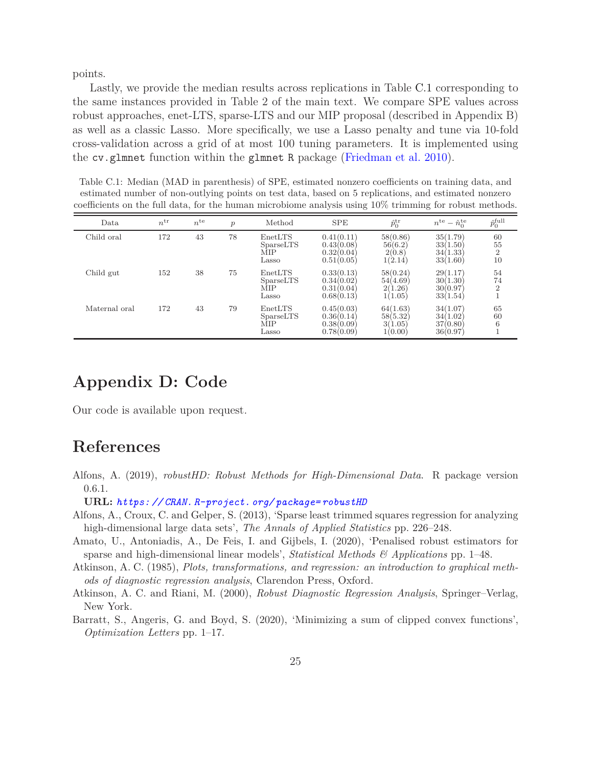points.

Lastly, we provide the median results across replications in Table [C.1](#page-24-6) corresponding to the same instances provided in Table 2 of the main text. We compare SPE values across robust approaches, enet-LTS, sparse-LTS and our MIP proposal (described in Appendix B) as well as a classic Lasso. More specifically, we use a Lasso penalty and tune via 10-fold cross-validation across a grid of at most 100 tuning parameters. It is implemented using the cv.glmnet function within the glmnet R package [\(Friedman et al. 2010\)](#page-25-18).

<span id="page-24-6"></span>Table C.1: Median (MAD in parenthesis) of SPE, estimated nonzero coefficients on training data, and estimated number of non-outlying points on test data, based on 5 replications, and estimated nonzero coefficients on the full data, for the human microbiome analysis using 10% trimming for robust methods.

| Data          | $n^{\rm tr}$ | $n^{\text{te}}$ | $\mathcal{p}$ | Method                               | <b>SPE</b>                                           | $\hat{p}_0^{\text{tr}}$                    | $n^{\text{te}} - \hat{n}_0^{\text{te}}$      | $\hat{p}^{\mathrm{full}}_0$      |
|---------------|--------------|-----------------|---------------|--------------------------------------|------------------------------------------------------|--------------------------------------------|----------------------------------------------|----------------------------------|
| Child oral    | 172          | 43              | 78            | EnetLTS<br>SparseLTS<br>MIP<br>Lasso | 0.41(0.11)<br>0.43(0.08)<br>0.32(0.04)<br>0.51(0.05) | 58(0.86)<br>56(6.2)<br>2(0.8)<br>1(2.14)   | 35(1.79)<br>33(1.50)<br>34(1.33)<br>33(1.60) | 60<br>55<br>$\overline{2}$<br>10 |
| Child gut     | 152          | 38              | 75            | EnetLTS<br>SparseLTS<br>MIP<br>Lasso | 0.33(0.13)<br>0.34(0.02)<br>0.31(0.04)<br>0.68(0.13) | 58(0.24)<br>54(4.69)<br>2(1.26)<br>1(1.05) | 29(1.17)<br>30(1.30)<br>30(0.97)<br>33(1.54) | 54<br>74<br>$\overline{2}$       |
| Maternal oral | 172          | 43              | 79            | EnetLTS<br>SparseLTS<br>MIP<br>Lasso | 0.45(0.03)<br>0.36(0.14)<br>0.38(0.09)<br>0.78(0.09) | 64(1.63)<br>58(5.32)<br>3(1.05)<br>1(0.00) | 34(1.07)<br>34(1.02)<br>37(0.80)<br>36(0.97) | 65<br>60<br>6                    |

### **Appendix D: Code**

Our code is available upon request.

### **References**

<span id="page-24-5"></span>Alfons, A. (2019), *robustHD: Robust Methods for High-Dimensional Data*. R package version 0.6.1.

**URL:** *[https: // CRAN. R-project. org/ package= robustHD](https://CRAN.R-project.org/package=robustHD)*

- <span id="page-24-0"></span>Alfons, A., Croux, C. and Gelper, S. (2013), 'Sparse least trimmed squares regression for analyzing high-dimensional large data sets', *The Annals of Applied Statistics* pp. 226–248.
- <span id="page-24-3"></span>Amato, U., Antoniadis, A., De Feis, I. and Gijbels, I. (2020), 'Penalised robust estimators for sparse and high-dimensional linear models', *Statistical Methods & Applications* pp. 1–48.
- <span id="page-24-1"></span>Atkinson, A. C. (1985), *Plots, transformations, and regression: an introduction to graphical methods of diagnostic regression analysis*, Clarendon Press, Oxford.
- <span id="page-24-4"></span>Atkinson, A. C. and Riani, M. (2000), *Robust Diagnostic Regression Analysis*, Springer–Verlag, New York.
- <span id="page-24-2"></span>Barratt, S., Angeris, G. and Boyd, S. (2020), 'Minimizing a sum of clipped convex functions', *Optimization Letters* pp. 1–17.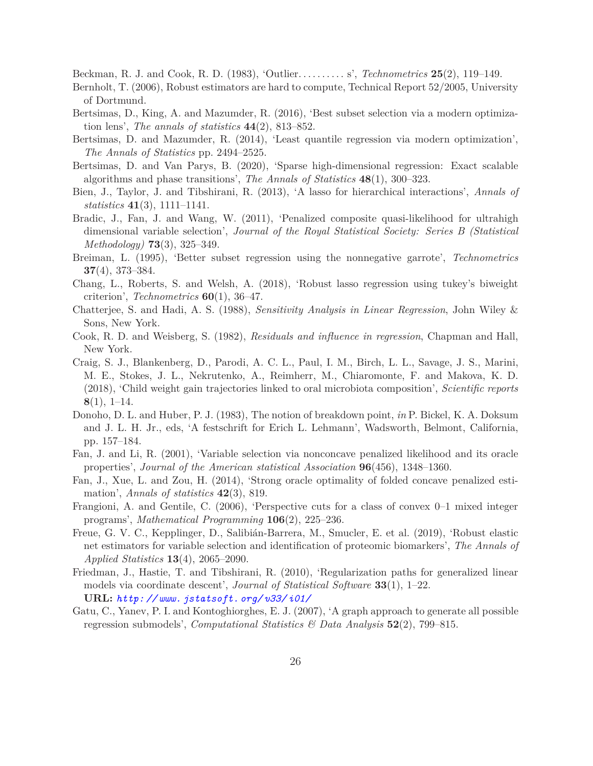<span id="page-25-0"></span>Beckman, R. J. and Cook, R. D. (1983), 'Outlier. . . . . . . . . . s', *Technometrics* **25**(2), 119–149.

- <span id="page-25-5"></span>Bernholt, T. (2006), Robust estimators are hard to compute, Technical Report 52/2005, University of Dortmund.
- <span id="page-25-2"></span>Bertsimas, D., King, A. and Mazumder, R. (2016), 'Best subset selection via a modern optimization lens', *The annals of statistics* **44**(2), 813–852.
- <span id="page-25-4"></span>Bertsimas, D. and Mazumder, R. (2014), 'Least quantile regression via modern optimization', *The Annals of Statistics* pp. 2494–2525.
- <span id="page-25-3"></span>Bertsimas, D. and Van Parys, B. (2020), 'Sparse high-dimensional regression: Exact scalable algorithms and phase transitions', *The Annals of Statistics* **48**(1), 300–323.
- <span id="page-25-10"></span>Bien, J., Taylor, J. and Tibshirani, R. (2013), 'A lasso for hierarchical interactions', *Annals of statistics* **41**(3), 1111–1141.
- <span id="page-25-13"></span>Bradic, J., Fan, J. and Wang, W. (2011), 'Penalized composite quasi-likelihood for ultrahigh dimensional variable selection', *Journal of the Royal Statistical Society: Series B (Statistical Methodology)* **73**(3), 325–349.
- <span id="page-25-9"></span>Breiman, L. (1995), 'Better subset regression using the nonnegative garrote', *Technometrics* **37**(4), 373–384.
- <span id="page-25-8"></span>Chang, L., Roberts, S. and Welsh, A. (2018), 'Robust lasso regression using tukey's biweight criterion', *Technometrics* **60**(1), 36–47.
- <span id="page-25-17"></span>Chatterjee, S. and Hadi, A. S. (1988), *Sensitivity Analysis in Linear Regression*, John Wiley & Sons, New York.
- <span id="page-25-1"></span>Cook, R. D. and Weisberg, S. (1982), *Residuals and influence in regression*, Chapman and Hall, New York.
- <span id="page-25-14"></span>Craig, S. J., Blankenberg, D., Parodi, A. C. L., Paul, I. M., Birch, L. L., Savage, J. S., Marini, M. E., Stokes, J. L., Nekrutenko, A., Reimherr, M., Chiaromonte, F. and Makova, K. D. (2018), 'Child weight gain trajectories linked to oral microbiota composition', *Scientific reports* **8**(1), 1–14.
- <span id="page-25-11"></span>Donoho, D. L. and Huber, P. J. (1983), The notion of breakdown point, *in* P. Bickel, K. A. Doksum and J. L. H. Jr., eds, 'A festschrift for Erich L. Lehmann', Wadsworth, Belmont, California, pp. 157–184.
- <span id="page-25-6"></span>Fan, J. and Li, R. (2001), 'Variable selection via nonconcave penalized likelihood and its oracle properties', *Journal of the American statistical Association* **96**(456), 1348–1360.
- <span id="page-25-12"></span>Fan, J., Xue, L. and Zou, H. (2014), 'Strong oracle optimality of folded concave penalized estimation', *Annals of statistics* **42**(3), 819.
- <span id="page-25-16"></span>Frangioni, A. and Gentile, C. (2006), 'Perspective cuts for a class of convex 0–1 mixed integer programs', *Mathematical Programming* **106**(2), 225–236.
- <span id="page-25-7"></span>Freue, G. V. C., Kepplinger, D., Salibián-Barrera, M., Smucler, E. et al. (2019), 'Robust elastic net estimators for variable selection and identification of proteomic biomarkers', *The Annals of Applied Statistics* **13**(4), 2065–2090.
- <span id="page-25-18"></span>Friedman, J., Hastie, T. and Tibshirani, R. (2010), 'Regularization paths for generalized linear models via coordinate descent', *Journal of Statistical Software* **33**(1), 1–22. **URL:** *[http: // www. jstatsoft. org/ v33/ i01/](http://www.jstatsoft.org/v33/i01/)*
- <span id="page-25-15"></span>Gatu, C., Yanev, P. I. and Kontoghiorghes, E. J. (2007), 'A graph approach to generate all possible regression submodels', *Computational Statistics & Data Analysis* **52**(2), 799–815.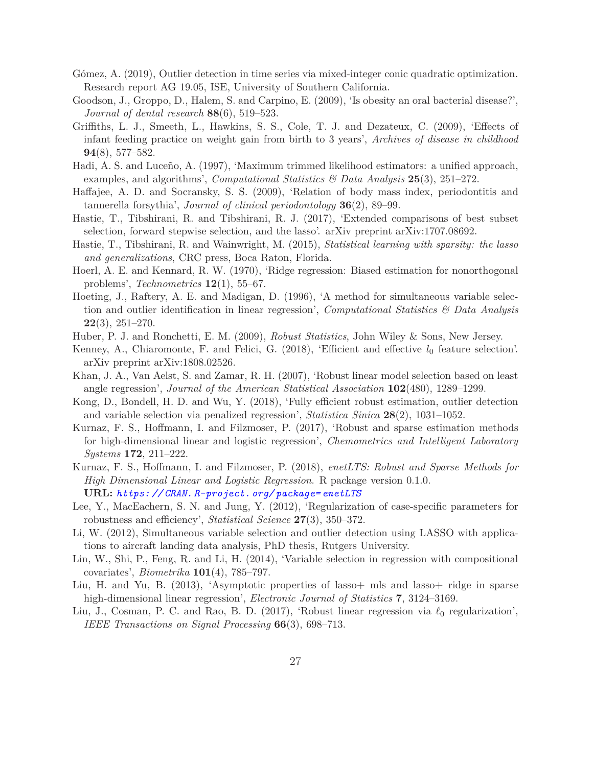- <span id="page-26-2"></span>Gómez, A. (2019), Outlier detection in time series via mixed-integer conic quadratic optimization. Research report AG 19.05, ISE, University of Southern California.
- <span id="page-26-15"></span>Goodson, J., Groppo, D., Halem, S. and Carpino, E. (2009), 'Is obesity an oral bacterial disease?', *Journal of dental research* **88**(6), 519–523.
- <span id="page-26-17"></span>Griffiths, L. J., Smeeth, L., Hawkins, S. S., Cole, T. J. and Dezateux, C. (2009), 'Effects of infant feeding practice on weight gain from birth to 3 years', *Archives of disease in childhood* **94**(8), 577–582.
- <span id="page-26-14"></span>Hadi, A. S. and Luceño, A. (1997), 'Maximum trimmed likelihood estimators: a unified approach, examples, and algorithms', *Computational Statistics & Data Analysis* **25**(3), 251–272.
- <span id="page-26-16"></span>Haffajee, A. D. and Socransky, S. S. (2009), 'Relation of body mass index, periodontitis and tannerella forsythia', *Journal of clinical periodontology* **36**(2), 89–99.
- <span id="page-26-12"></span>Hastie, T., Tibshirani, R. and Tibshirani, R. J. (2017), 'Extended comparisons of best subset selection, forward stepwise selection, and the lasso'. arXiv preprint arXiv:1707.08692.
- <span id="page-26-3"></span>Hastie, T., Tibshirani, R. and Wainwright, M. (2015), *Statistical learning with sparsity: the lasso and generalizations*, CRC press, Boca Raton, Florida.
- <span id="page-26-11"></span>Hoerl, A. E. and Kennard, R. W. (1970), 'Ridge regression: Biased estimation for nonorthogonal problems', *Technometrics* **12**(1), 55–67.
- <span id="page-26-6"></span>Hoeting, J., Raftery, A. E. and Madigan, D. (1996), 'A method for simultaneous variable selection and outlier identification in linear regression', *Computational Statistics & Data Analysis* **22**(3), 251–270.
- <span id="page-26-0"></span>Huber, P. J. and Ronchetti, E. M. (2009), *Robust Statistics*, John Wiley & Sons, New Jersey.
- <span id="page-26-10"></span>Kenney, A., Chiaromonte, F. and Felici, G. (2018), 'Efficient and effective *l*<sup>0</sup> feature selection'. arXiv preprint arXiv:1808.02526.
- <span id="page-26-9"></span>Khan, J. A., Van Aelst, S. and Zamar, R. H. (2007), 'Robust linear model selection based on least angle regression', *Journal of the American Statistical Association* **102**(480), 1289–1299.
- <span id="page-26-5"></span>Kong, D., Bondell, H. D. and Wu, Y. (2018), 'Fully efficient robust estimation, outlier detection and variable selection via penalized regression', *Statistica Sinica* **28**(2), 1031–1052.
- <span id="page-26-8"></span>Kurnaz, F. S., Hoffmann, I. and Filzmoser, P. (2017), 'Robust and sparse estimation methods for high-dimensional linear and logistic regression', *Chemometrics and Intelligent Laboratory Systems* **172**, 211–222.
- <span id="page-26-19"></span>Kurnaz, F. S., Hoffmann, I. and Filzmoser, P. (2018), *enetLTS: Robust and Sparse Methods for High Dimensional Linear and Logistic Regression*. R package version 0.1.0. **URL:** *[https: // CRAN. R-project. org/ package= enetLTS](https://CRAN.R-project.org/package=enetLTS)*
- <span id="page-26-4"></span>Lee, Y., MacEachern, S. N. and Jung, Y. (2012), 'Regularization of case-specific parameters for robustness and efficiency', *Statistical Science* **27**(3), 350–372.
- <span id="page-26-7"></span>Li, W. (2012), Simultaneous variable selection and outlier detection using LASSO with applications to aircraft landing data analysis, PhD thesis, Rutgers University.
- <span id="page-26-13"></span>Lin, W., Shi, P., Feng, R. and Li, H. (2014), 'Variable selection in regression with compositional covariates', *Biometrika* **101**(4), 785–797.
- <span id="page-26-18"></span>Liu, H. and Yu, B. (2013), 'Asymptotic properties of lasso+ mls and lasso+ ridge in sparse high-dimensional linear regression', *Electronic Journal of Statistics* **7**, 3124–3169.
- <span id="page-26-1"></span>Liu, J., Cosman, P. C. and Rao, B. D. (2017), 'Robust linear regression via *ℓ*<sup>0</sup> regularization', *IEEE Transactions on Signal Processing* **66**(3), 698–713.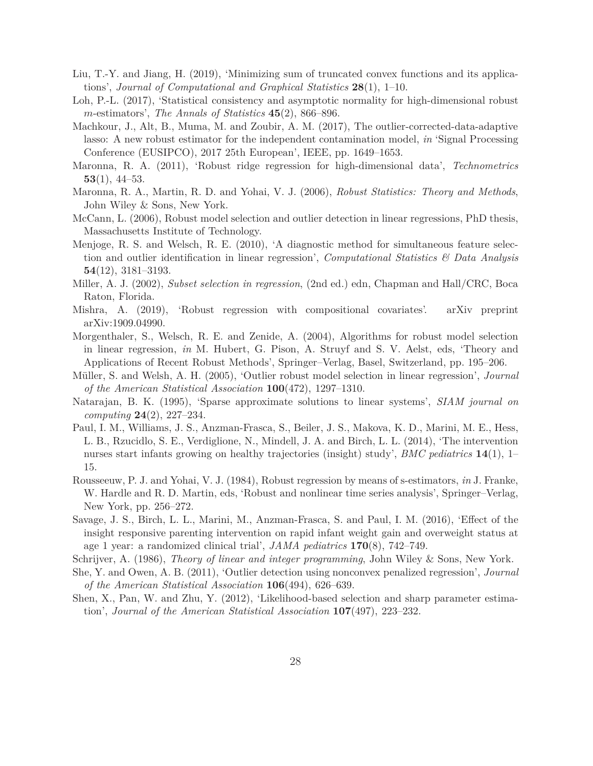- <span id="page-27-4"></span>Liu, T.-Y. and Jiang, H. (2019), 'Minimizing sum of truncated convex functions and its applications', *Journal of Computational and Graphical Statistics* **28**(1), 1–10.
- <span id="page-27-11"></span>Loh, P.-L. (2017), 'Statistical consistency and asymptotic normality for high-dimensional robust *m*-estimators', *The Annals of Statistics* **45**(2), 866–896.
- <span id="page-27-12"></span>Machkour, J., Alt, B., Muma, M. and Zoubir, A. M. (2017), The outlier-corrected-data-adaptive lasso: A new robust estimator for the independent contamination model, *in* 'Signal Processing Conference (EUSIPCO), 2017 25th European', IEEE, pp. 1649–1653.
- <span id="page-27-10"></span>Maronna, R. A. (2011), 'Robust ridge regression for high-dimensional data', *Technometrics* **53**(1), 44–53.
- <span id="page-27-2"></span>Maronna, R. A., Martin, R. D. and Yohai, V. J. (2006), *Robust Statistics: Theory and Methods*, John Wiley & Sons, New York.
- <span id="page-27-3"></span>McCann, L. (2006), Robust model selection and outlier detection in linear regressions, PhD thesis, Massachusetts Institute of Technology.
- <span id="page-27-9"></span>Menjoge, R. S. and Welsch, R. E. (2010), 'A diagnostic method for simultaneous feature selection and outlier identification in linear regression', *Computational Statistics & Data Analysis* **54**(12), 3181–3193.
- <span id="page-27-6"></span>Miller, A. J. (2002), *Subset selection in regression*, (2nd ed.) edn, Chapman and Hall/CRC, Boca Raton, Florida.
- <span id="page-27-16"></span>Mishra, A. (2019), 'Robust regression with compositional covariates'. arXiv preprint arXiv:1909.04990.
- <span id="page-27-1"></span>Morgenthaler, S., Welsch, R. E. and Zenide, A. (2004), Algorithms for robust model selection in linear regression, *in* M. Hubert, G. Pison, A. Struyf and S. V. Aelst, eds, 'Theory and Applications of Recent Robust Methods', Springer–Verlag, Basel, Switzerland, pp. 195–206.
- <span id="page-27-0"></span>Müller, S. and Welsh, A. H. (2005), 'Outlier robust model selection in linear regression', *Journal of the American Statistical Association* **100**(472), 1297–1310.
- <span id="page-27-7"></span>Natarajan, B. K. (1995), 'Sparse approximate solutions to linear systems', *SIAM journal on computing* **24**(2), 227–234.
- <span id="page-27-14"></span>Paul, I. M., Williams, J. S., Anzman-Frasca, S., Beiler, J. S., Makova, K. D., Marini, M. E., Hess, L. B., Rzucidlo, S. E., Verdiglione, N., Mindell, J. A. and Birch, L. L. (2014), 'The intervention nurses start infants growing on healthy trajectories (insight) study', *BMC pediatrics* **14**(1), 1– 15.
- <span id="page-27-13"></span>Rousseeuw, P. J. and Yohai, V. J. (1984), Robust regression by means of s-estimators, *in* J. Franke, W. Hardle and R. D. Martin, eds, 'Robust and nonlinear time series analysis', Springer–Verlag, New York, pp. 256–272.
- <span id="page-27-15"></span>Savage, J. S., Birch, L. L., Marini, M., Anzman-Frasca, S. and Paul, I. M. (2016), 'Effect of the insight responsive parenting intervention on rapid infant weight gain and overweight status at age 1 year: a randomized clinical trial', *JAMA pediatrics* **170**(8), 742–749.
- <span id="page-27-8"></span>Schrijver, A. (1986), *Theory of linear and integer programming*, John Wiley & Sons, New York.
- <span id="page-27-5"></span>She, Y. and Owen, A. B. (2011), 'Outlier detection using nonconvex penalized regression', *Journal of the American Statistical Association* **106**(494), 626–639.
- <span id="page-27-17"></span>Shen, X., Pan, W. and Zhu, Y. (2012), 'Likelihood-based selection and sharp parameter estimation', *Journal of the American Statistical Association* **107**(497), 223–232.